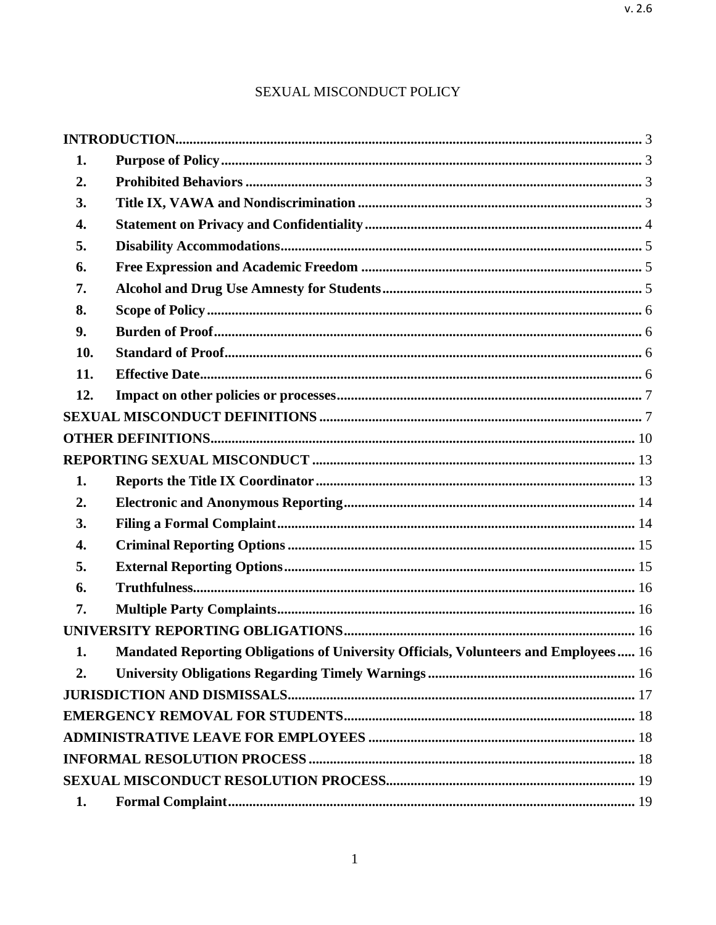| 1.  |                                                                                     |  |  |
|-----|-------------------------------------------------------------------------------------|--|--|
| 2.  |                                                                                     |  |  |
| 3.  |                                                                                     |  |  |
| 4.  |                                                                                     |  |  |
| 5.  |                                                                                     |  |  |
| 6.  |                                                                                     |  |  |
| 7.  |                                                                                     |  |  |
| 8.  |                                                                                     |  |  |
| 9.  |                                                                                     |  |  |
| 10. |                                                                                     |  |  |
| 11. |                                                                                     |  |  |
| 12. |                                                                                     |  |  |
|     |                                                                                     |  |  |
|     |                                                                                     |  |  |
|     |                                                                                     |  |  |
| 1.  |                                                                                     |  |  |
| 2.  |                                                                                     |  |  |
| 3.  |                                                                                     |  |  |
| 4.  |                                                                                     |  |  |
| 5.  |                                                                                     |  |  |
| 6.  |                                                                                     |  |  |
| 7.  |                                                                                     |  |  |
|     |                                                                                     |  |  |
| 1.  | Mandated Reporting Obligations of University Officials, Volunteers and Employees 16 |  |  |
| 2.  |                                                                                     |  |  |
|     |                                                                                     |  |  |
|     |                                                                                     |  |  |
|     |                                                                                     |  |  |
|     |                                                                                     |  |  |
|     |                                                                                     |  |  |
| 1.  |                                                                                     |  |  |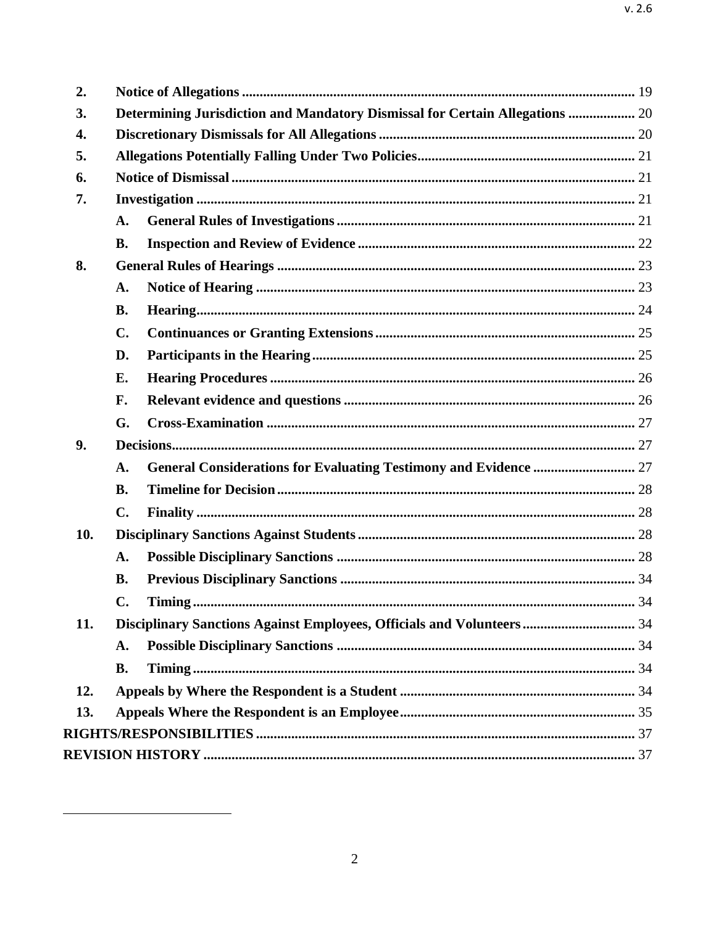<span id="page-1-0"></span>

| 2.  |                                                                              |  |  |  |
|-----|------------------------------------------------------------------------------|--|--|--|
| 3.  | Determining Jurisdiction and Mandatory Dismissal for Certain Allegations  20 |  |  |  |
| 4.  |                                                                              |  |  |  |
| 5.  |                                                                              |  |  |  |
| 6.  |                                                                              |  |  |  |
| 7.  |                                                                              |  |  |  |
|     | A.                                                                           |  |  |  |
|     | <b>B.</b>                                                                    |  |  |  |
| 8.  |                                                                              |  |  |  |
|     | A.                                                                           |  |  |  |
|     | <b>B.</b>                                                                    |  |  |  |
|     | $\mathbf{C}$ .                                                               |  |  |  |
|     | D.                                                                           |  |  |  |
|     | E.                                                                           |  |  |  |
|     | F.                                                                           |  |  |  |
|     | G.                                                                           |  |  |  |
| 9.  |                                                                              |  |  |  |
|     | A.                                                                           |  |  |  |
|     | <b>B.</b>                                                                    |  |  |  |
|     | $\mathbf{C}$ .                                                               |  |  |  |
| 10. |                                                                              |  |  |  |
|     | A.                                                                           |  |  |  |
|     | <b>B.</b>                                                                    |  |  |  |
|     | C.                                                                           |  |  |  |
| 11. | Disciplinary Sanctions Against Employees, Officials and Volunteers  34       |  |  |  |
|     | A.                                                                           |  |  |  |
|     | <b>B.</b>                                                                    |  |  |  |
| 12. |                                                                              |  |  |  |
| 13. |                                                                              |  |  |  |
|     |                                                                              |  |  |  |
|     |                                                                              |  |  |  |
|     |                                                                              |  |  |  |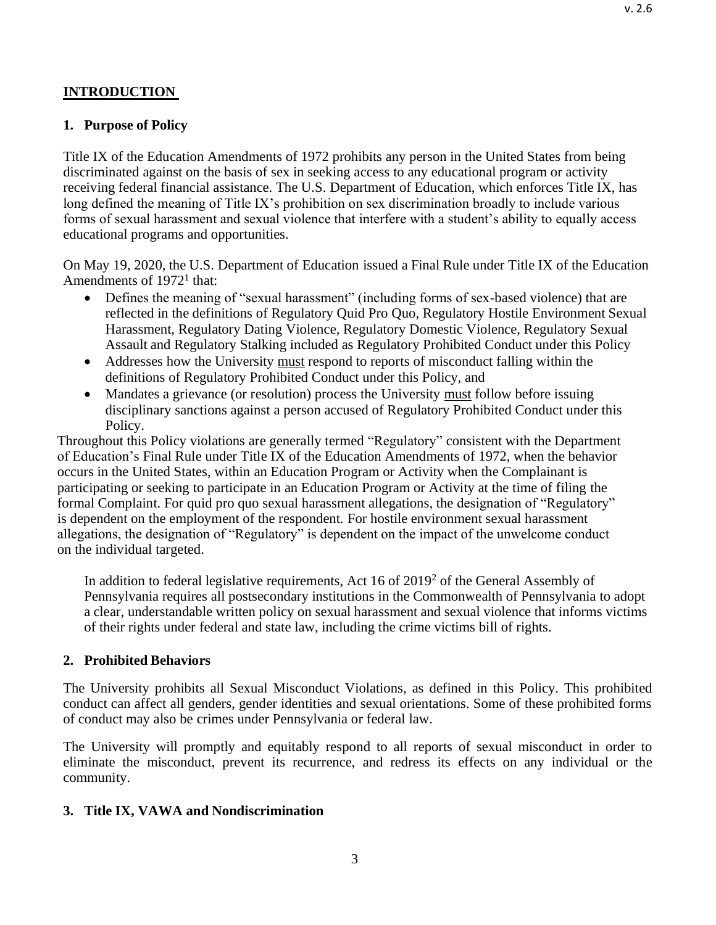#### <span id="page-2-0"></span>**1. Purpose of Policy**

Title IX of the Education Amendments of 1972 prohibits any person in the United States from being discriminated against on the basis of sex in seeking access to any educational program or activity receiving federal financial assistance. The U.S. Department of Education, which enforces Title IX, has long defined the meaning of Title IX's prohibition on sex discrimination broadly to include various forms of sexual harassment and sexual violence that interfere with a student's ability to equally access educational programs and opportunities.

On May 19, 2020, the U.S. Department of Education issued a Final Rule under Title IX of the Education Amendments of 1972<sup>1</sup> that:

- Defines the meaning of "sexual harassment" (including forms of sex-based violence) that are reflected in the definitions of Regulatory Quid Pro Quo, Regulatory Hostile Environment Sexual Harassment, Regulatory Dating Violence, Regulatory Domestic Violence, Regulatory Sexual Assault and Regulatory Stalking included as Regulatory Prohibited Conduct under this Policy
- Addresses how the University must respond to reports of misconduct falling within the definitions of Regulatory Prohibited Conduct under this Policy, and
- Mandates a grievance (or resolution) process the University must follow before issuing disciplinary sanctions against a person accused of Regulatory Prohibited Conduct under this Policy.

Throughout this Policy violations are generally termed "Regulatory" consistent with the Department of Education's Final Rule under Title IX of the Education Amendments of 1972, when the behavior occurs in the United States, within an Education Program or Activity when the Complainant is participating or seeking to participate in an Education Program or Activity at the time of filing the formal Complaint. For quid pro quo sexual harassment allegations, the designation of "Regulatory" is dependent on the employment of the respondent. For hostile environment sexual harassment allegations, the designation of "Regulatory" is dependent on the impact of the unwelcome conduct on the individual targeted.

In addition to federal legislative requirements, Act 16 of 2019<sup>2</sup> of the General Assembly of Pennsylvania requires all postsecondary institutions in the Commonwealth of Pennsylvania to adopt a clear, understandable written policy on sexual harassment and sexual violence that informs victims of their rights under federal and state law, including the crime victims bill of rights.

#### <span id="page-2-1"></span>**2. Prohibited Behaviors**

The University prohibits all Sexual Misconduct Violations, as defined in this Policy. This prohibited conduct can affect all genders, gender identities and sexual orientations. Some of these prohibited forms of conduct may also be crimes under Pennsylvania or federal law.

The University will promptly and equitably respond to all reports of sexual misconduct in order to eliminate the misconduct, prevent its recurrence, and redress its effects on any individual or the community.

#### <span id="page-2-2"></span>**3. Title IX, VAWA and Nondiscrimination**

v. 2.6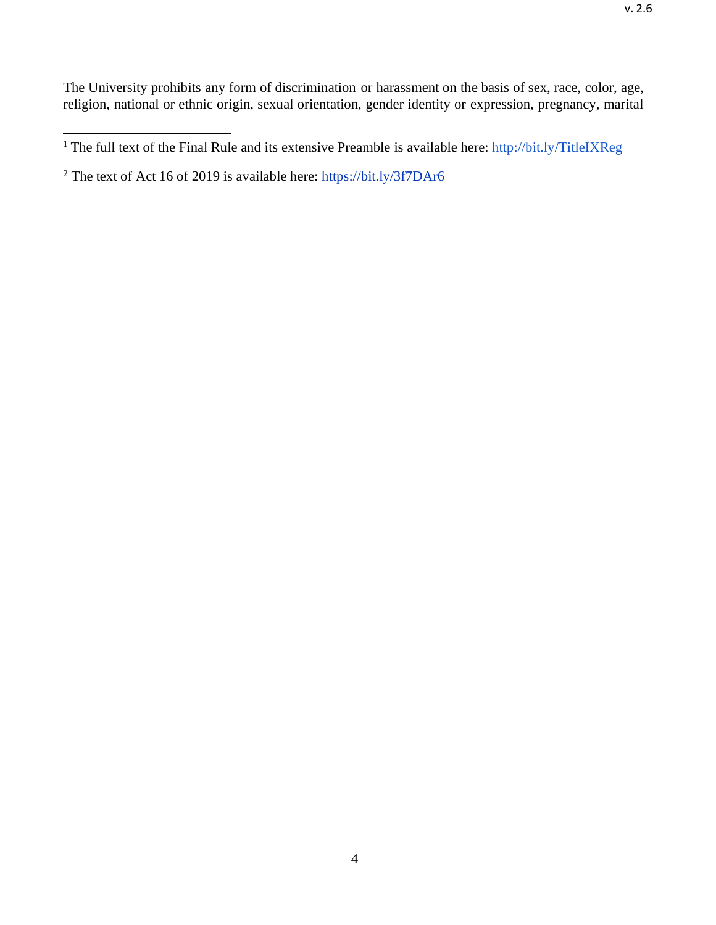<sup>&</sup>lt;sup>1</sup> The full text of the Final Rule and its extensive Preamble is available here: <http://bit.ly/TitleIXReg>

<sup>&</sup>lt;sup>2</sup> The text of Act 16 of 2019 is available here: <https://bit.ly/3f7DAr6>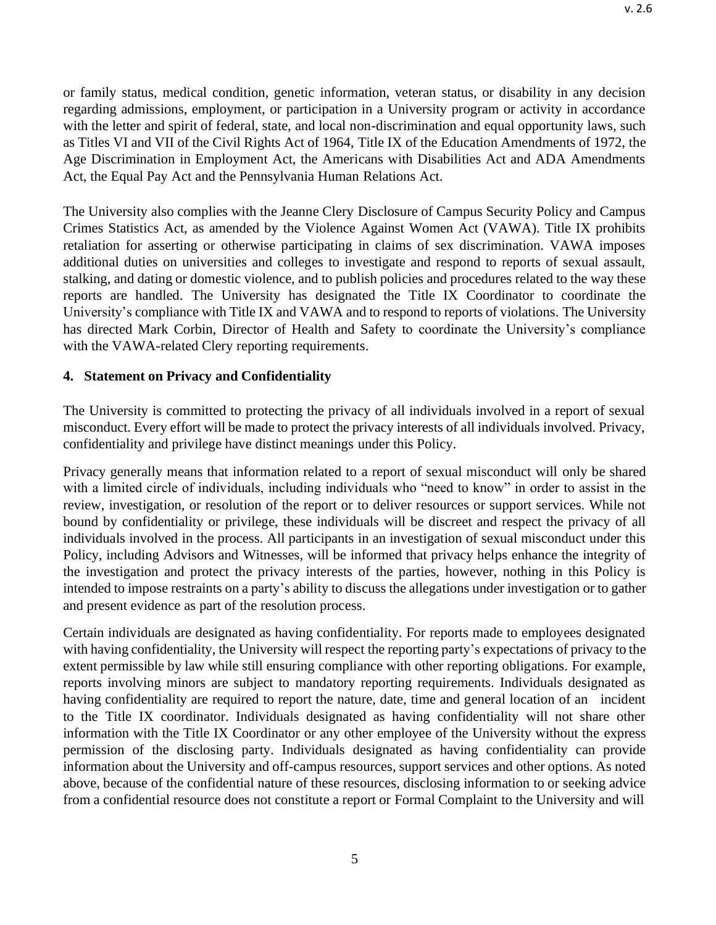or family status, medical condition, genetic information, veteran status, or disability in any decision regarding admissions, employment, or participation in a University program or activity in accordance with the letter and spirit of federal, state, and local non-discrimination and equal opportunity laws, such as Titles VI and VII of the Civil Rights Act of 1964, Title IX of the Education Amendments of 1972, the Age Discrimination in Employment Act, the Americans with Disabilities Act and ADA Amendments Act, the Equal Pay Act and the Pennsylvania Human Relations Act.

The University also complies with the Jeanne Clery Disclosure of Campus Security Policy and Campus Crimes Statistics Act, as amended by the Violence Against Women Act (VAWA). Title IX prohibits retaliation for asserting or otherwise participating in claims of sex discrimination. VAWA imposes additional duties on universities and colleges to investigate and respond to reports of sexual assault, stalking, and dating or domestic violence, and to publish policies and procedures related to the way these reports are handled. The University has designated the Title IX Coordinator to coordinate the University's compliance with Title IX and VAWA and to respond to reports of violations. The University has directed Mark Corbin, Director of Health and Safety to coordinate the University's compliance with the VAWA-related Clery reporting requirements.

# <span id="page-4-0"></span>**4. Statement on Privacy and Confidentiality**

The University is committed to protecting the privacy of all individuals involved in a report of sexual misconduct. Every effort will be made to protect the privacy interests of all individuals involved. Privacy, confidentiality and privilege have distinct meanings under this Policy.

Privacy generally means that information related to a report of sexual misconduct will only be shared with a limited circle of individuals, including individuals who "need to know" in order to assist in the review, investigation, or resolution of the report or to deliver resources or support services. While not bound by confidentiality or privilege, these individuals will be discreet and respect the privacy of all individuals involved in the process. All participants in an investigation of sexual misconduct under this Policy, including Advisors and Witnesses, will be informed that privacy helps enhance the integrity of the investigation and protect the privacy interests of the parties, however, nothing in this Policy is intended to impose restraints on a party's ability to discuss the allegations under investigation or to gather and present evidence as part of the resolution process.

Certain individuals are designated as having confidentiality. For reports made to employees designated with having confidentiality, the University will respect the reporting party's expectations of privacy to the extent permissible by law while still ensuring compliance with other reporting obligations. For example, reports involving minors are subject to mandatory reporting requirements. Individuals designated as having confidentiality are required to report the nature, date, time and general location of an incident to the Title IX coordinator. Individuals designated as having confidentiality will not share other information with the Title IX Coordinator or any other employee of the University without the express permission of the disclosing party. Individuals designated as having confidentiality can provide information about the University and off-campus resources, support services and other options. As noted above, because of the confidential nature of these resources, disclosing information to or seeking advice from a confidential resource does not constitute a report or Formal Complaint to the University and will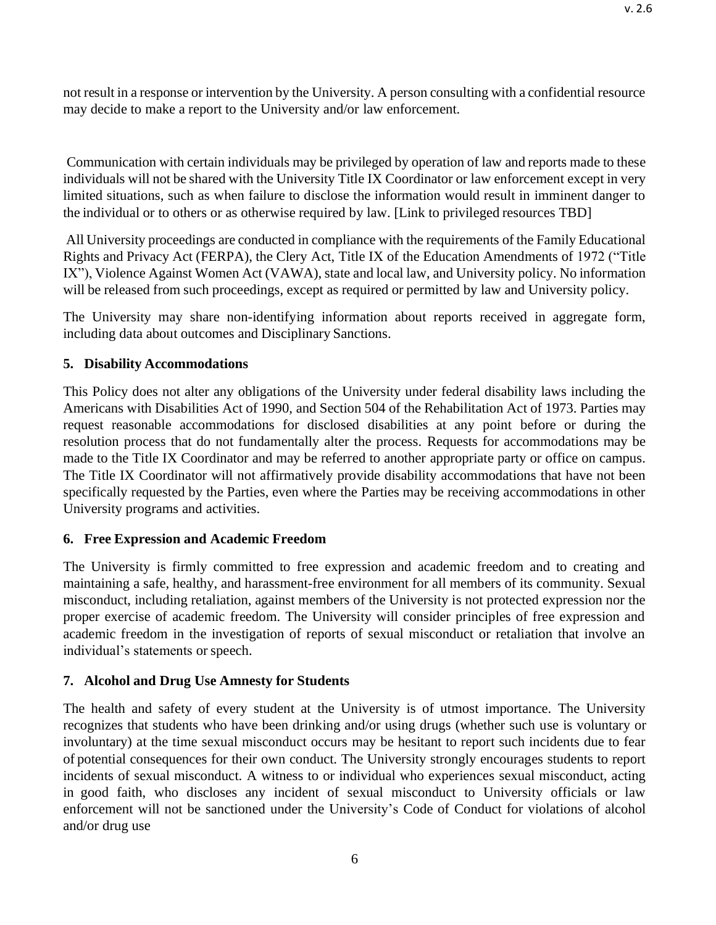not result in a response or intervention by the University. A person consulting with a confidential resource may decide to make a report to the University and/or law enforcement.

Communication with certain individuals may be privileged by operation of law and reports made to these individuals will not be shared with the University Title IX Coordinator or law enforcement except in very limited situations, such as when failure to disclose the information would result in imminent danger to the individual or to others or as otherwise required by law. [Link to privileged resources TBD]

All University proceedings are conducted in compliance with the requirements of the Family Educational Rights and Privacy Act (FERPA), the Clery Act, Title IX of the Education Amendments of 1972 ("Title IX"), Violence Against Women Act (VAWA), state and local law, and University policy. No information will be released from such proceedings, except as required or permitted by law and University policy.

The University may share non-identifying information about reports received in aggregate form, including data about outcomes and Disciplinary Sanctions.

# <span id="page-5-0"></span>**5. Disability Accommodations**

This Policy does not alter any obligations of the University under federal disability laws including the Americans with Disabilities Act of 1990, and Section 504 of the Rehabilitation Act of 1973. Parties may request reasonable accommodations for disclosed disabilities at any point before or during the resolution process that do not fundamentally alter the process. Requests for accommodations may be made to the Title IX Coordinator and may be referred to another appropriate party or office on campus. The Title IX Coordinator will not affirmatively provide disability accommodations that have not been specifically requested by the Parties, even where the Parties may be receiving accommodations in other University programs and activities.

# <span id="page-5-1"></span>**6. Free Expression and Academic Freedom**

The University is firmly committed to free expression and academic freedom and to creating and maintaining a safe, healthy, and harassment-free environment for all members of its community. Sexual misconduct, including retaliation, against members of the University is not protected expression nor the proper exercise of academic freedom. The University will consider principles of free expression and academic freedom in the investigation of reports of sexual misconduct or retaliation that involve an individual's statements or speech.

# <span id="page-5-2"></span>**7. Alcohol and Drug Use Amnesty for Students**

The health and safety of every student at the University is of utmost importance. The University recognizes that students who have been drinking and/or using drugs (whether such use is voluntary or involuntary) at the time sexual misconduct occurs may be hesitant to report such incidents due to fear of potential consequences for their own conduct. The University strongly encourages students to report incidents of sexual misconduct. A witness to or individual who experiences sexual misconduct, acting in good faith, who discloses any incident of sexual misconduct to University officials or law enforcement will not be sanctioned under the University's Code of Conduct for violations of alcohol and/or drug use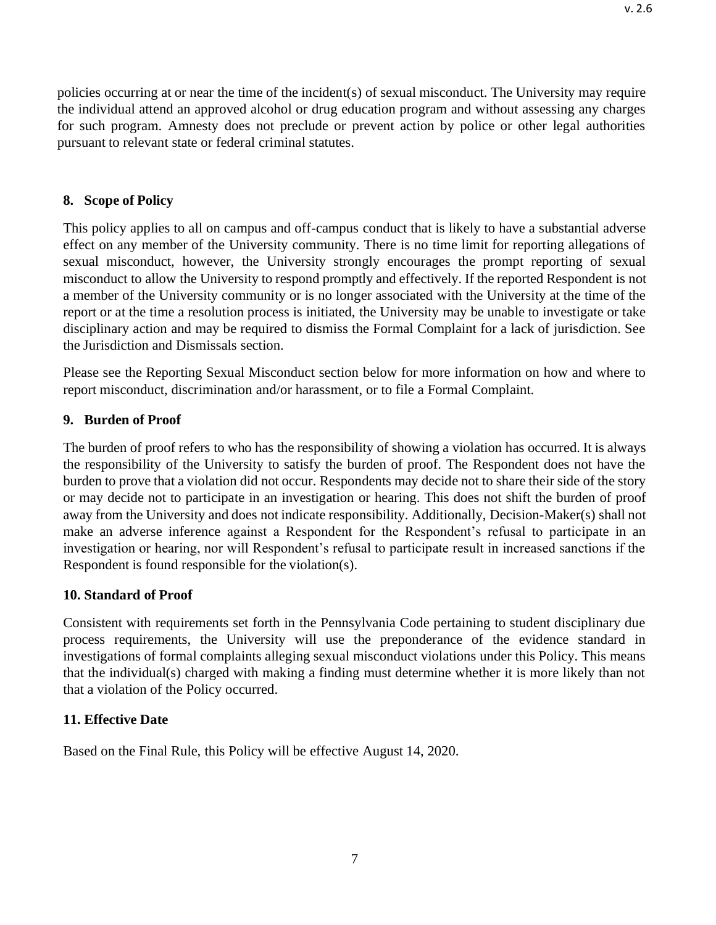policies occurring at or near the time of the incident(s) of sexual misconduct. The University may require the individual attend an approved alcohol or drug education program and without assessing any charges for such program. Amnesty does not preclude or prevent action by police or other legal authorities pursuant to relevant state or federal criminal statutes.

### <span id="page-6-0"></span>**8. Scope of Policy**

This policy applies to all on campus and off-campus conduct that is likely to have a substantial adverse effect on any member of the University community. There is no time limit for reporting allegations of sexual misconduct, however, the University strongly encourages the prompt reporting of sexual misconduct to allow the University to respond promptly and effectively. If the reported Respondent is not a member of the University community or is no longer associated with the University at the time of the report or at the time a resolution process is initiated, the University may be unable to investigate or take disciplinary action and may be required to dismiss the Formal Complaint for a lack of jurisdiction. See the Jurisdiction and Dismissals section.

Please see the Reporting Sexual Misconduct section below for more information on how and where to report misconduct, discrimination and/or harassment, or to file a Formal Complaint.

### <span id="page-6-1"></span>**9. Burden of Proof**

The burden of proof refers to who has the responsibility of showing a violation has occurred. It is always the responsibility of the University to satisfy the burden of proof. The Respondent does not have the burden to prove that a violation did not occur. Respondents may decide not to share their side of the story or may decide not to participate in an investigation or hearing. This does not shift the burden of proof away from the University and does not indicate responsibility. Additionally, Decision-Maker(s) shall not make an adverse inference against a Respondent for the Respondent's refusal to participate in an investigation or hearing, nor will Respondent's refusal to participate result in increased sanctions if the Respondent is found responsible for the violation(s).

#### <span id="page-6-2"></span>**10. Standard of Proof**

Consistent with requirements set forth in the Pennsylvania Code pertaining to student disciplinary due process requirements, the University will use the preponderance of the evidence standard in investigations of formal complaints alleging sexual misconduct violations under this Policy. This means that the individual(s) charged with making a finding must determine whether it is more likely than not that a violation of the Policy occurred.

## <span id="page-6-3"></span>**11. Effective Date**

Based on the Final Rule, this Policy will be effective August 14, 2020.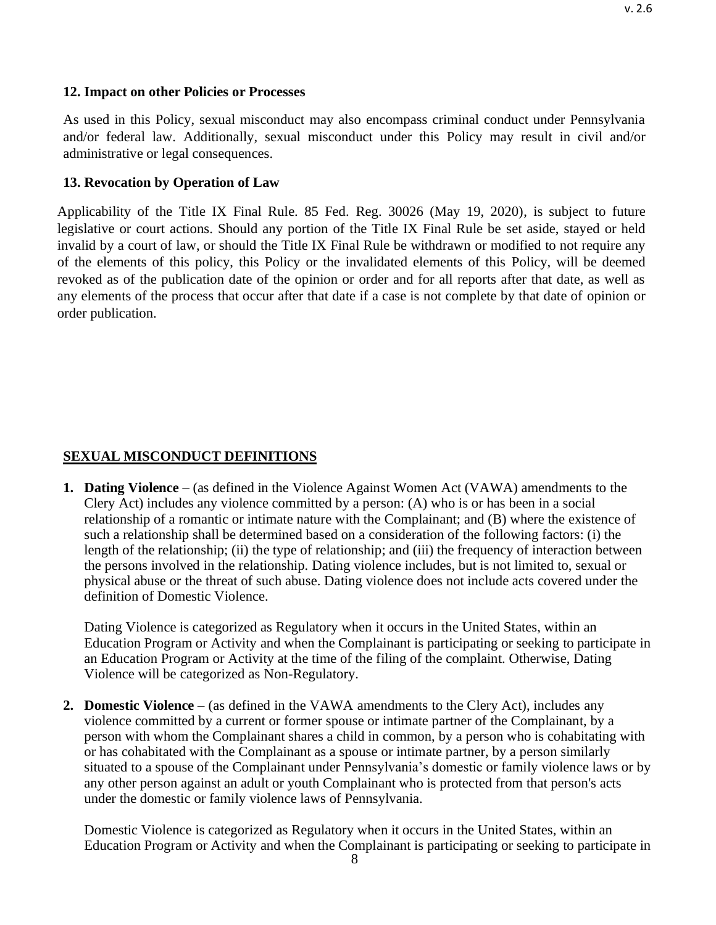### <span id="page-7-0"></span>**12. Impact on other Policies or Processes**

As used in this Policy, sexual misconduct may also encompass criminal conduct under Pennsylvania and/or federal law. Additionally, sexual misconduct under this Policy may result in civil and/or administrative or legal consequences.

## **13. Revocation by Operation of Law**

Applicability of the Title IX Final Rule. 85 Fed. Reg. 30026 (May 19, 2020), is subject to future legislative or court actions. Should any portion of the Title IX Final Rule be set aside, stayed or held invalid by a court of law, or should the Title IX Final Rule be withdrawn or modified to not require any of the elements of this policy, this Policy or the invalidated elements of this Policy, will be deemed revoked as of the publication date of the opinion or order and for all reports after that date, as well as any elements of the process that occur after that date if a case is not complete by that date of opinion or order publication.

# <span id="page-7-1"></span>**SEXUAL MISCONDUCT DEFINITIONS**

**1. Dating Violence** – (as defined in the Violence Against Women Act (VAWA) amendments to the Clery Act) includes any violence committed by a person: (A) who is or has been in a social relationship of a romantic or intimate nature with the Complainant; and (B) where the existence of such a relationship shall be determined based on a consideration of the following factors: (i) the length of the relationship; (ii) the type of relationship; and (iii) the frequency of interaction between the persons involved in the relationship. Dating violence includes, but is not limited to, sexual or physical abuse or the threat of such abuse. Dating violence does not include acts covered under the definition of Domestic Violence.

Dating Violence is categorized as Regulatory when it occurs in the United States, within an Education Program or Activity and when the Complainant is participating or seeking to participate in an Education Program or Activity at the time of the filing of the complaint. Otherwise, Dating Violence will be categorized as Non-Regulatory.

**2. Domestic Violence** – (as defined in the VAWA amendments to the Clery Act), includes any violence committed by a current or former spouse or intimate partner of the Complainant, by a person with whom the Complainant shares a child in common, by a person who is cohabitating with or has cohabitated with the Complainant as a spouse or intimate partner, by a person similarly situated to a spouse of the Complainant under Pennsylvania's domestic or family violence laws or by any other person against an adult or youth Complainant who is protected from that person's acts under the domestic or family violence laws of Pennsylvania.

Domestic Violence is categorized as Regulatory when it occurs in the United States, within an Education Program or Activity and when the Complainant is participating or seeking to participate in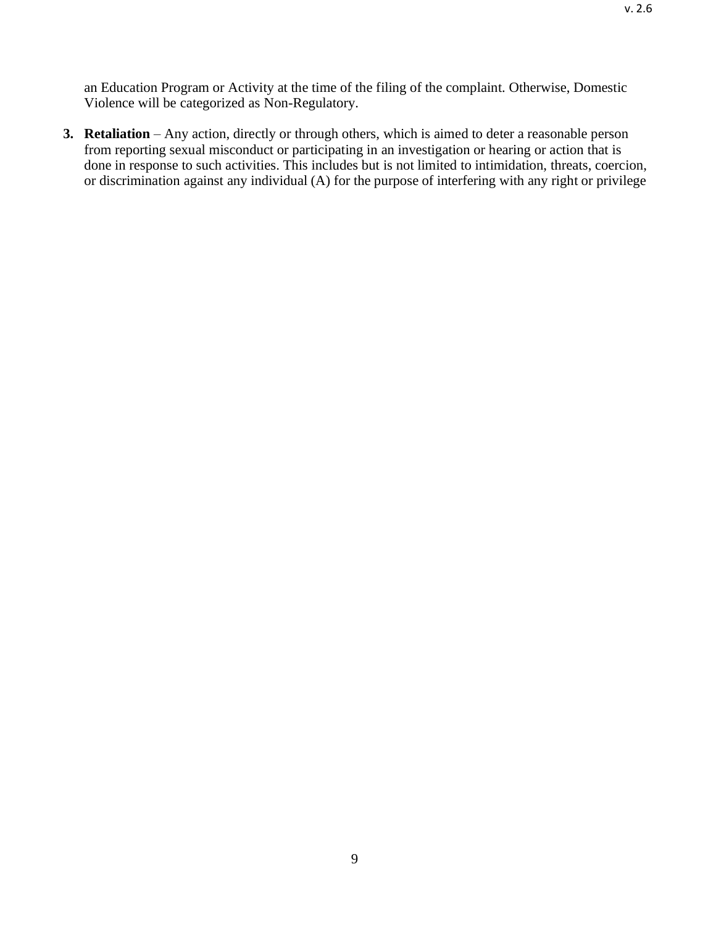an Education Program or Activity at the time of the filing of the complaint. Otherwise, Domestic Violence will be categorized as Non-Regulatory.

**3. Retaliation** – Any action, directly or through others, which is aimed to deter a reasonable person from reporting sexual misconduct or participating in an investigation or hearing or action that is done in response to such activities. This includes but is not limited to intimidation, threats, coercion, or discrimination against any individual (A) for the purpose of interfering with any right or privilege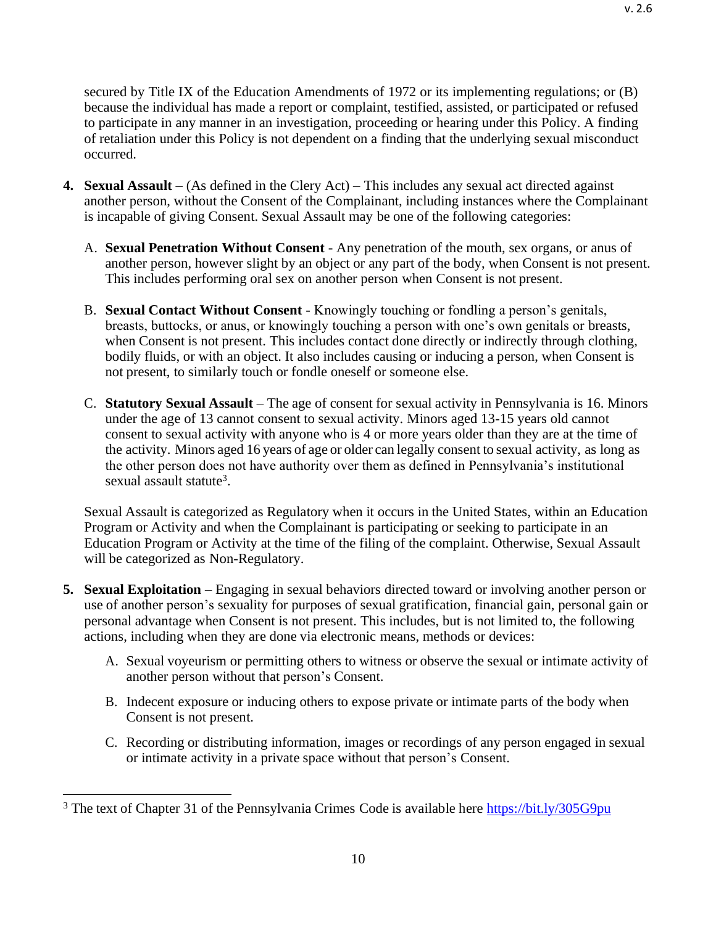secured by Title IX of the Education Amendments of 1972 or its implementing regulations; or (B) because the individual has made a report or complaint, testified, assisted, or participated or refused to participate in any manner in an investigation, proceeding or hearing under this Policy. A finding of retaliation under this Policy is not dependent on a finding that the underlying sexual misconduct occurred.

- **4. Sexual Assault**  (As defined in the Clery Act) This includes any sexual act directed against another person, without the Consent of the Complainant, including instances where the Complainant is incapable of giving Consent. Sexual Assault may be one of the following categories:
	- A. **Sexual Penetration Without Consent**  Any penetration of the mouth, sex organs, or anus of another person, however slight by an object or any part of the body, when Consent is not present. This includes performing oral sex on another person when Consent is not present.
	- B. **Sexual Contact Without Consent**  Knowingly touching or fondling a person's genitals, breasts, buttocks, or anus, or knowingly touching a person with one's own genitals or breasts, when Consent is not present. This includes contact done directly or indirectly through clothing, bodily fluids, or with an object. It also includes causing or inducing a person, when Consent is not present, to similarly touch or fondle oneself or someone else.
	- C. **Statutory Sexual Assault**  The age of consent for sexual activity in Pennsylvania is 16. Minors under the age of 13 cannot consent to sexual activity. Minors aged 13-15 years old cannot consent to sexual activity with anyone who is 4 or more years older than they are at the time of the activity. Minors aged 16 years of age or older can legally consent to sexual activity, as long as the other person does not have authority over them as defined in Pennsylvania's institutional sexual assault statute<sup>3</sup>.

Sexual Assault is categorized as Regulatory when it occurs in the United States, within an Education Program or Activity and when the Complainant is participating or seeking to participate in an Education Program or Activity at the time of the filing of the complaint. Otherwise, Sexual Assault will be categorized as Non-Regulatory.

- **5. Sexual Exploitation** Engaging in sexual behaviors directed toward or involving another person or use of another person's sexuality for purposes of sexual gratification, financial gain, personal gain or personal advantage when Consent is not present. This includes, but is not limited to, the following actions, including when they are done via electronic means, methods or devices:
	- A. Sexual voyeurism or permitting others to witness or observe the sexual or intimate activity of another person without that person's Consent.
	- B. Indecent exposure or inducing others to expose private or intimate parts of the body when Consent is not present.
	- C. Recording or distributing information, images or recordings of any person engaged in sexual or intimate activity in a private space without that person's Consent.

<sup>&</sup>lt;sup>3</sup> The text of Chapter 31 of the Pennsylvania Crimes Code is available here <https://bit.ly/305G9pu>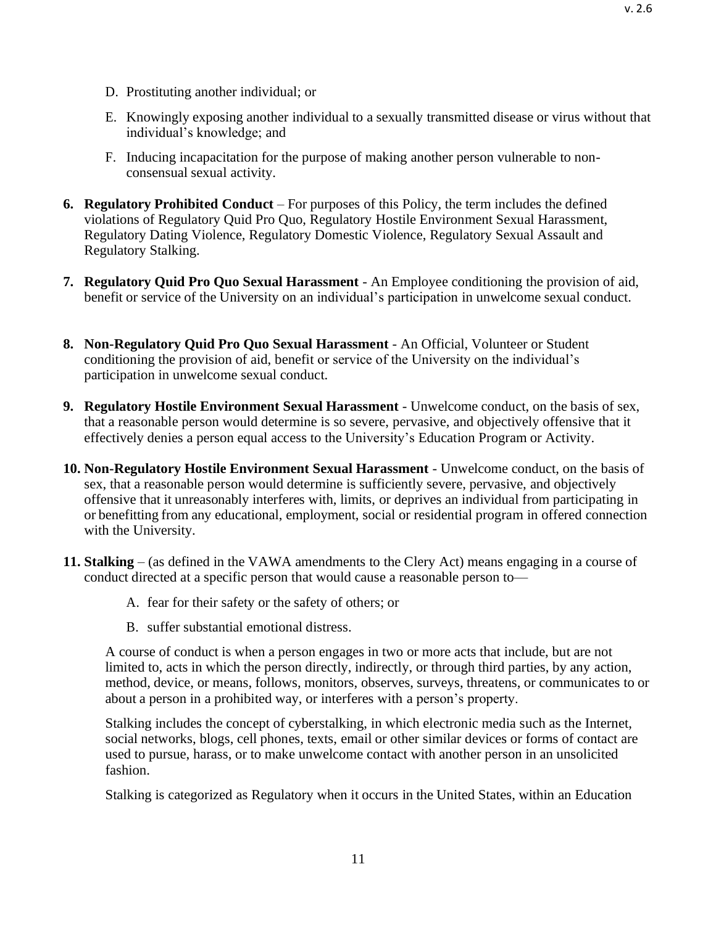- D. Prostituting another individual; or
- E. Knowingly exposing another individual to a sexually transmitted disease or virus without that individual's knowledge; and
- F. Inducing incapacitation for the purpose of making another person vulnerable to nonconsensual sexual activity.
- **6. Regulatory Prohibited Conduct**  For purposes of this Policy, the term includes the defined violations of Regulatory Quid Pro Quo, Regulatory Hostile Environment Sexual Harassment, Regulatory Dating Violence, Regulatory Domestic Violence, Regulatory Sexual Assault and Regulatory Stalking.
- **7. Regulatory Quid Pro Quo Sexual Harassment**  An Employee conditioning the provision of aid, benefit or service of the University on an individual's participation in unwelcome sexual conduct.
- **8. Non-Regulatory Quid Pro Quo Sexual Harassment**  An Official, Volunteer or Student conditioning the provision of aid, benefit or service of the University on the individual's participation in unwelcome sexual conduct.
- **9. Regulatory Hostile Environment Sexual Harassment** Unwelcome conduct, on the basis of sex, that a reasonable person would determine is so severe, pervasive, and objectively offensive that it effectively denies a person equal access to the University's Education Program or Activity.
- **10. Non-Regulatory Hostile Environment Sexual Harassment**  Unwelcome conduct, on the basis of sex, that a reasonable person would determine is sufficiently severe, pervasive, and objectively offensive that it unreasonably interferes with, limits, or deprives an individual from participating in or benefitting from any educational, employment, social or residential program in offered connection with the University.
- **11. Stalking** (as defined in the VAWA amendments to the Clery Act) means engaging in a course of conduct directed at a specific person that would cause a reasonable person to—
	- A. fear for their safety or the safety of others; or
	- B. suffer substantial emotional distress.

A course of conduct is when a person engages in two or more acts that include, but are not limited to, acts in which the person directly, indirectly, or through third parties, by any action, method, device, or means, follows, monitors, observes, surveys, threatens, or communicates to or about a person in a prohibited way, or interferes with a person's property.

Stalking includes the concept of cyberstalking, in which electronic media such as the Internet, social networks, blogs, cell phones, texts, email or other similar devices or forms of contact are used to pursue, harass, or to make unwelcome contact with another person in an unsolicited fashion.

Stalking is categorized as Regulatory when it occurs in the United States, within an Education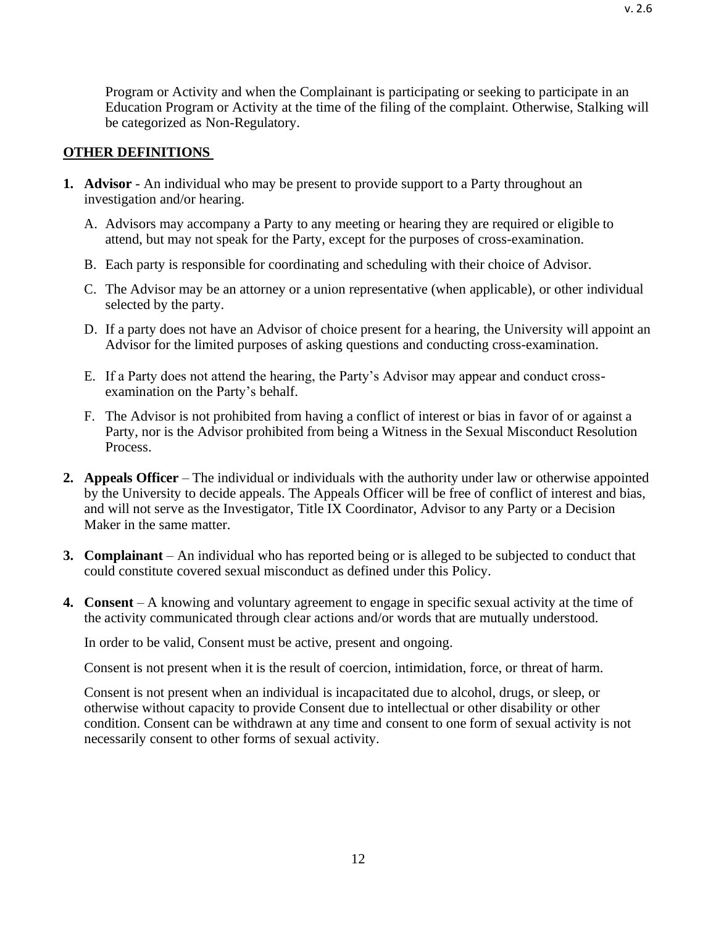Program or Activity and when the Complainant is participating or seeking to participate in an Education Program or Activity at the time of the filing of the complaint. Otherwise, Stalking will be categorized as Non-Regulatory.

#### <span id="page-11-0"></span>**OTHER DEFINITIONS**

- **1. Advisor** An individual who may be present to provide support to a Party throughout an investigation and/or hearing.
	- A. Advisors may accompany a Party to any meeting or hearing they are required or eligible to attend, but may not speak for the Party, except for the purposes of cross-examination.
	- B. Each party is responsible for coordinating and scheduling with their choice of Advisor.
	- C. The Advisor may be an attorney or a union representative (when applicable), or other individual selected by the party.
	- D. If a party does not have an Advisor of choice present for a hearing, the University will appoint an Advisor for the limited purposes of asking questions and conducting cross-examination.
	- E. If a Party does not attend the hearing, the Party's Advisor may appear and conduct crossexamination on the Party's behalf.
	- F. The Advisor is not prohibited from having a conflict of interest or bias in favor of or against a Party, nor is the Advisor prohibited from being a Witness in the Sexual Misconduct Resolution Process.
- **2. Appeals Officer** The individual or individuals with the authority under law or otherwise appointed by the University to decide appeals. The Appeals Officer will be free of conflict of interest and bias, and will not serve as the Investigator, Title IX Coordinator, Advisor to any Party or a Decision Maker in the same matter.
- **3. Complainant**  An individual who has reported being or is alleged to be subjected to conduct that could constitute covered sexual misconduct as defined under this Policy.
- **4. Consent** A knowing and voluntary agreement to engage in specific sexual activity at the time of the activity communicated through clear actions and/or words that are mutually understood.

In order to be valid, Consent must be active, present and ongoing.

Consent is not present when it is the result of coercion, intimidation, force, or threat of harm.

Consent is not present when an individual is incapacitated due to alcohol, drugs, or sleep, or otherwise without capacity to provide Consent due to intellectual or other disability or other condition. Consent can be withdrawn at any time and consent to one form of sexual activity is not necessarily consent to other forms of sexual activity.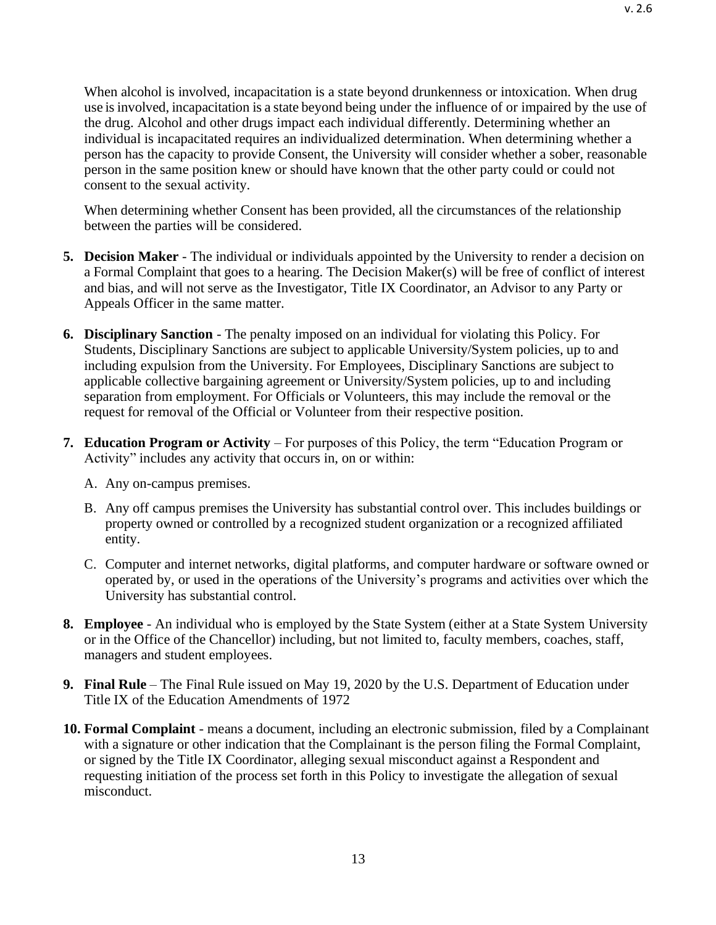When alcohol is involved, incapacitation is a state beyond drunkenness or intoxication. When drug use isinvolved, incapacitation is a state beyond being under the influence of or impaired by the use of the drug. Alcohol and other drugs impact each individual differently. Determining whether an individual is incapacitated requires an individualized determination. When determining whether a person has the capacity to provide Consent, the University will consider whether a sober, reasonable person in the same position knew or should have known that the other party could or could not consent to the sexual activity.

When determining whether Consent has been provided, all the circumstances of the relationship between the parties will be considered.

- **5. Decision Maker**  The individual or individuals appointed by the University to render a decision on a Formal Complaint that goes to a hearing. The Decision Maker(s) will be free of conflict of interest and bias, and will not serve as the Investigator, Title IX Coordinator, an Advisor to any Party or Appeals Officer in the same matter.
- **6. Disciplinary Sanction**  The penalty imposed on an individual for violating this Policy. For Students, Disciplinary Sanctions are subject to applicable University/System policies, up to and including expulsion from the University. For Employees, Disciplinary Sanctions are subject to applicable collective bargaining agreement or University/System policies, up to and including separation from employment. For Officials or Volunteers, this may include the removal or the request for removal of the Official or Volunteer from their respective position.
- **7. Education Program or Activity** For purposes of this Policy, the term "Education Program or Activity" includes any activity that occurs in, on or within:
	- A. Any on-campus premises.
	- B. Any off campus premises the University has substantial control over. This includes buildings or property owned or controlled by a recognized student organization or a recognized affiliated entity.
	- C. Computer and internet networks, digital platforms, and computer hardware or software owned or operated by, or used in the operations of the University's programs and activities over which the University has substantial control.
- **8. Employee** An individual who is employed by the State System (either at a State System University or in the Office of the Chancellor) including, but not limited to, faculty members, coaches, staff, managers and student employees.
- **9. Final Rule** The Final Rule issued on May 19, 2020 by the U.S. Department of Education under Title IX of the Education Amendments of 1972
- **10. Formal Complaint**  means a document, including an electronic submission, filed by a Complainant with a signature or other indication that the Complainant is the person filing the Formal Complaint, or signed by the Title IX Coordinator, alleging sexual misconduct against a Respondent and requesting initiation of the process set forth in this Policy to investigate the allegation of sexual misconduct.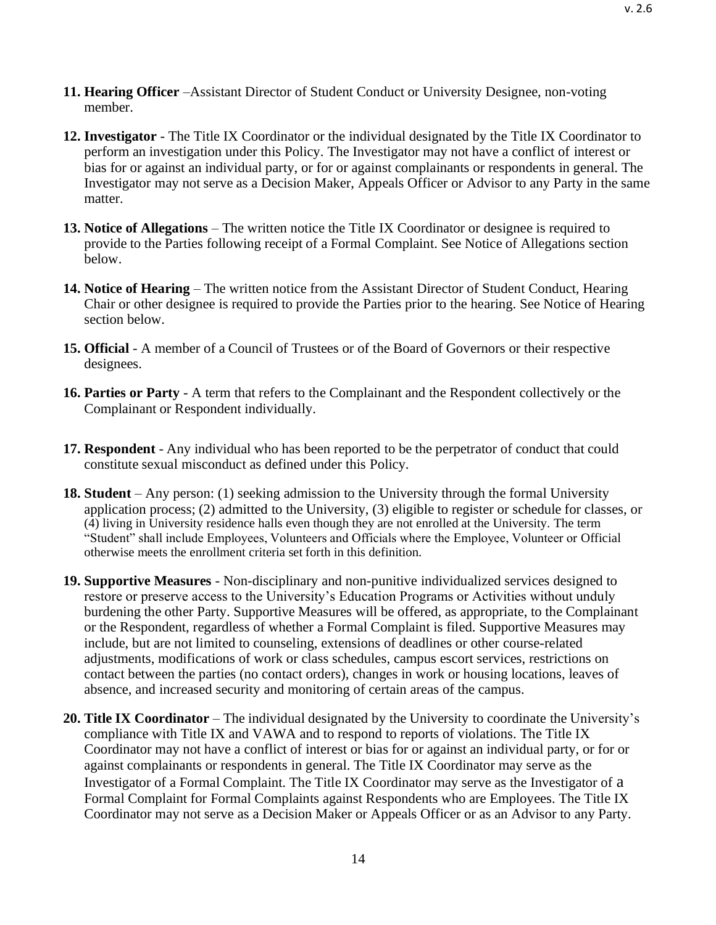v. 2.6

- **11. Hearing Officer** –Assistant Director of Student Conduct or University Designee, non-voting member.
- **12. Investigator**  The Title IX Coordinator or the individual designated by the Title IX Coordinator to perform an investigation under this Policy. The Investigator may not have a conflict of interest or bias for or against an individual party, or for or against complainants or respondents in general. The Investigator may not serve as a Decision Maker, Appeals Officer or Advisor to any Party in the same matter.
- **13. Notice of Allegations**  The written notice the Title IX Coordinator or designee is required to provide to the Parties following receipt of a Formal Complaint. See Notice of Allegations section below.
- **14. Notice of Hearing**  The written notice from the Assistant Director of Student Conduct, Hearing Chair or other designee is required to provide the Parties prior to the hearing. See Notice of Hearing section below.
- **15. Official** A member of a Council of Trustees or of the Board of Governors or their respective designees.
- **16. Parties or Party**  A term that refers to the Complainant and the Respondent collectively or the Complainant or Respondent individually.
- **17. Respondent** Any individual who has been reported to be the perpetrator of conduct that could constitute sexual misconduct as defined under this Policy.
- **18. Student** Any person: (1) seeking admission to the University through the formal University application process; (2) admitted to the University, (3) eligible to register or schedule for classes, or (4) living in University residence halls even though they are not enrolled at the University. The term "Student" shall include Employees, Volunteers and Officials where the Employee, Volunteer or Official otherwise meets the enrollment criteria set forth in this definition.
- **19. Supportive Measures**  Non-disciplinary and non-punitive individualized services designed to restore or preserve access to the University's Education Programs or Activities without unduly burdening the other Party. Supportive Measures will be offered, as appropriate, to the Complainant or the Respondent, regardless of whether a Formal Complaint is filed. Supportive Measures may include, but are not limited to counseling, extensions of deadlines or other course-related adjustments, modifications of work or class schedules, campus escort services, restrictions on contact between the parties (no contact orders), changes in work or housing locations, leaves of absence, and increased security and monitoring of certain areas of the campus.
- **20. Title IX Coordinator** The individual designated by the University to coordinate the University's compliance with Title IX and VAWA and to respond to reports of violations. The Title IX Coordinator may not have a conflict of interest or bias for or against an individual party, or for or against complainants or respondents in general. The Title IX Coordinator may serve as the Investigator of a Formal Complaint. The Title IX Coordinator may serve as the Investigator of a Formal Complaint for Formal Complaints against Respondents who are Employees. The Title IX Coordinator may not serve as a Decision Maker or Appeals Officer or as an Advisor to any Party.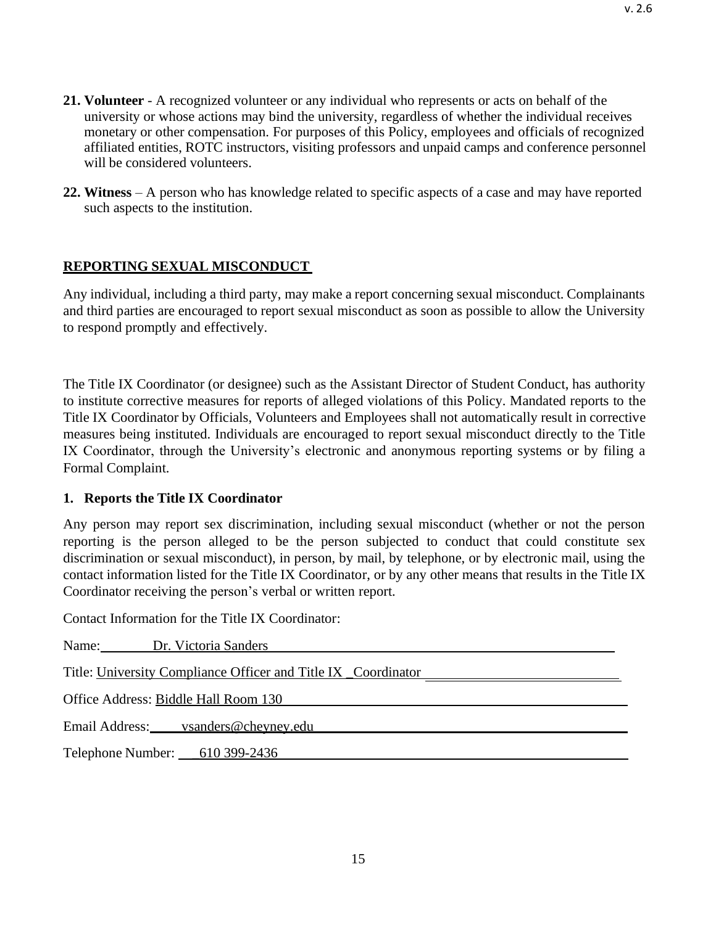**22. Witness** – A person who has knowledge related to specific aspects of a case and may have reported such aspects to the institution.

# <span id="page-14-0"></span>**REPORTING SEXUAL MISCONDUCT**

Any individual, including a third party, may make a report concerning sexual misconduct. Complainants and third parties are encouraged to report sexual misconduct as soon as possible to allow the University to respond promptly and effectively.

The Title IX Coordinator (or designee) such as the Assistant Director of Student Conduct, has authority to institute corrective measures for reports of alleged violations of this Policy. Mandated reports to the Title IX Coordinator by Officials, Volunteers and Employees shall not automatically result in corrective measures being instituted. Individuals are encouraged to report sexual misconduct directly to the Title IX Coordinator, through the University's electronic and anonymous reporting systems or by filing a Formal Complaint.

## <span id="page-14-1"></span>**1. Reports the Title IX Coordinator**

Any person may report sex discrimination, including sexual misconduct (whether or not the person reporting is the person alleged to be the person subjected to conduct that could constitute sex discrimination or sexual misconduct), in person, by mail, by telephone, or by electronic mail, using the contact information listed for the Title IX Coordinator, or by any other means that results in the Title IX Coordinator receiving the person's verbal or written report.

Contact Information for the Title IX Coordinator:

| Name: Dr. Victoria Sanders                                    |
|---------------------------------------------------------------|
| Title: University Compliance Officer and Title IX Coordinator |
| Office Address: Biddle Hall Room 130                          |
| Email Address: vsanders@chevney.edu                           |
| Telephone Number: 610 399-2436                                |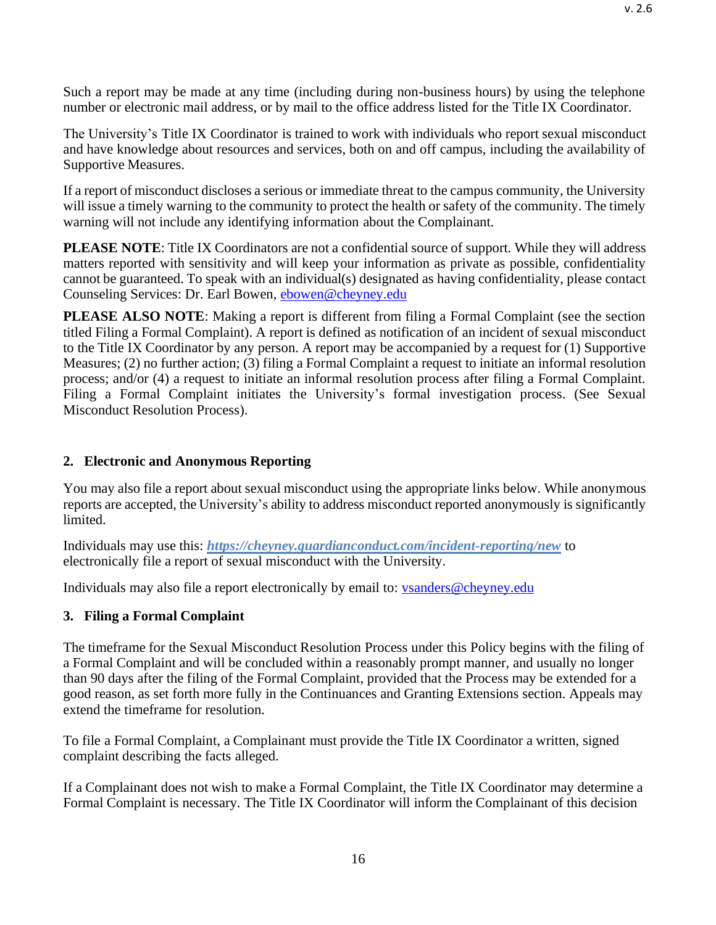Such a report may be made at any time (including during non-business hours) by using the telephone number or electronic mail address, or by mail to the office address listed for the Title IX Coordinator.

The University's Title IX Coordinator is trained to work with individuals who report sexual misconduct and have knowledge about resources and services, both on and off campus, including the availability of Supportive Measures.

If a report of misconduct discloses a serious or immediate threat to the campus community, the University will issue a timely warning to the community to protect the health or safety of the community. The timely warning will not include any identifying information about the Complainant.

**PLEASE NOTE**: Title IX Coordinators are not a confidential source of support. While they will address matters reported with sensitivity and will keep your information as private as possible, confidentiality cannot be guaranteed. To speak with an individual(s) designated as having confidentiality, please contact Counseling Services: Dr. Earl Bowen, [ebowen@cheyney.edu](mailto:ebowen@cheyney.edu)

**PLEASE ALSO NOTE:** Making a report is different from filing a Formal Complaint (see the section titled Filing a Formal Complaint). A report is defined as notification of an incident of sexual misconduct to the Title IX Coordinator by any person. A report may be accompanied by a request for (1) Supportive Measures; (2) no further action; (3) filing a Formal Complaint a request to initiate an informal resolution process; and/or (4) a request to initiate an informal resolution process after filing a Formal Complaint. Filing a Formal Complaint initiates the University's formal investigation process. (See Sexual Misconduct Resolution Process).

## <span id="page-15-0"></span>**2. Electronic and Anonymous Reporting**

You may also file a report about sexual misconduct using the appropriate links below. While anonymous reports are accepted, the University's ability to address misconduct reported anonymously is significantly limited.

Individuals may use this: *https://cheyney.guardianconduct.com/incident-reporting/new* to electronically file a report of sexual misconduct with the University.

Individuals may also file a report electronically by email to: [vsanders@cheyney.edu](mailto:vsanders@cheyney.edu)

## <span id="page-15-1"></span>**3. Filing a Formal Complaint**

The timeframe for the Sexual Misconduct Resolution Process under this Policy begins with the filing of a Formal Complaint and will be concluded within a reasonably prompt manner, and usually no longer than 90 days after the filing of the Formal Complaint, provided that the Process may be extended for a good reason, as set forth more fully in the Continuances and Granting Extensions section. Appeals may extend the timeframe for resolution.

To file a Formal Complaint, a Complainant must provide the Title IX Coordinator a written, signed complaint describing the facts alleged.

If a Complainant does not wish to make a Formal Complaint, the Title IX Coordinator may determine a Formal Complaint is necessary. The Title IX Coordinator will inform the Complainant of this decision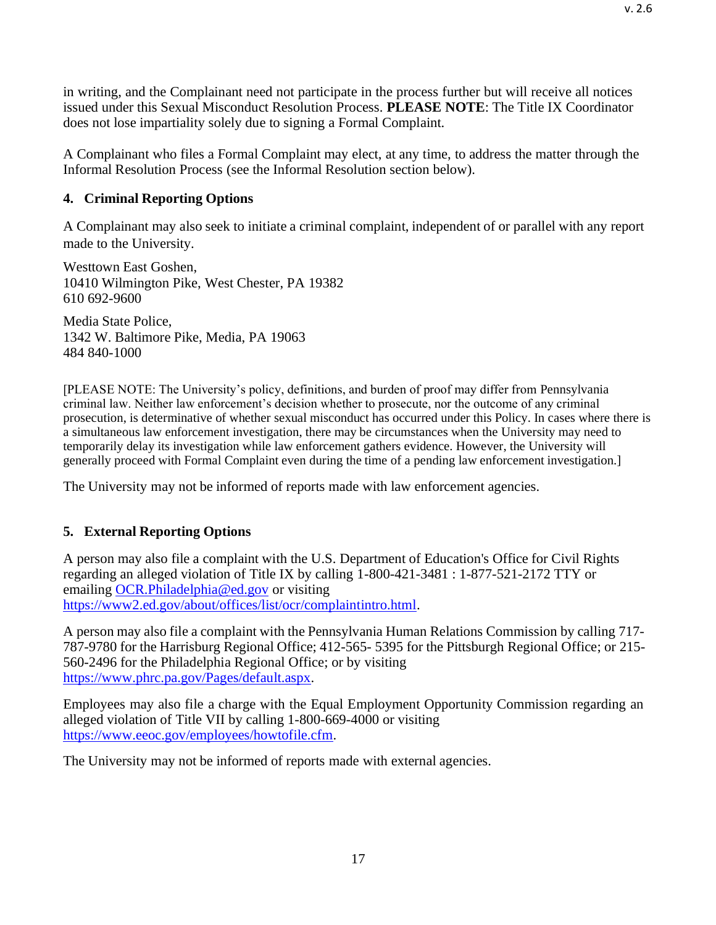A Complainant who files a Formal Complaint may elect, at any time, to address the matter through the Informal Resolution Process (see the Informal Resolution section below).

# <span id="page-16-0"></span>**4. Criminal Reporting Options**

A Complainant may also seek to initiate a criminal complaint, independent of or parallel with any report made to the University.

Westtown East Goshen, 10410 Wilmington Pike, West Chester, PA 19382 610 692-9600

Media State Police, 1342 W. Baltimore Pike, Media, PA 19063 484 840-1000

[PLEASE NOTE: The University's policy, definitions, and burden of proof may differ from Pennsylvania criminal law. Neither law enforcement's decision whether to prosecute, nor the outcome of any criminal prosecution, is determinative of whether sexual misconduct has occurred under this Policy. In cases where there is a simultaneous law enforcement investigation, there may be circumstances when the University may need to temporarily delay its investigation while law enforcement gathers evidence. However, the University will generally proceed with Formal Complaint even during the time of a pending law enforcement investigation.]

The University may not be informed of reports made with law enforcement agencies.

# <span id="page-16-1"></span>**5. External Reporting Options**

A person may also file a complaint with the U.S. Department of Education's Office for Civil Rights regarding an alleged violation of Title IX by calling 1-800-421-3481 : 1-877-521-2172 TTY or emailing [OCR.Philadelphia@ed.gov](mailto:OCR.Philadelphia@ed.gov) or visiting [https://www2.ed.gov/about/offices/list/ocr/complaintintro.html.](https://www2.ed.gov/about/offices/list/ocr/complaintintro.html)

A person may also file a complaint with the Pennsylvania Human Relations Commission by calling 717- 787-9780 for the Harrisburg Regional Office; 412-565- 5395 for the Pittsburgh Regional Office; or 215- 560-2496 for the Philadelphia Regional Office; or by visiting [https://www.phrc.pa.gov/Pages/default.aspx.](https://www.phrc.pa.gov/Pages/default.aspx)

Employees may also file a charge with the Equal Employment Opportunity Commission regarding an alleged violation of Title VII by calling 1-800-669-4000 or visiting [https://www.eeoc.gov/employees/howtofile.cfm.](https://www.eeoc.gov/employees/howtofile.cfm)

The University may not be informed of reports made with external agencies.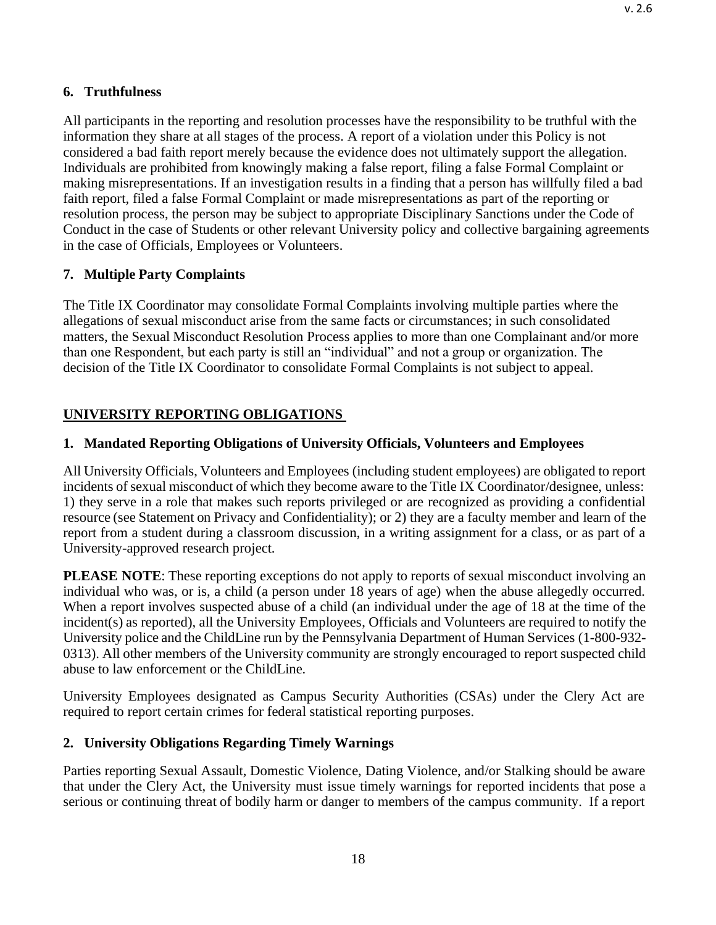## <span id="page-17-0"></span>**6. Truthfulness**

All participants in the reporting and resolution processes have the responsibility to be truthful with the information they share at all stages of the process. A report of a violation under this Policy is not considered a bad faith report merely because the evidence does not ultimately support the allegation. Individuals are prohibited from knowingly making a false report, filing a false Formal Complaint or making misrepresentations. If an investigation results in a finding that a person has willfully filed a bad faith report, filed a false Formal Complaint or made misrepresentations as part of the reporting or resolution process, the person may be subject to appropriate Disciplinary Sanctions under the Code of Conduct in the case of Students or other relevant University policy and collective bargaining agreements in the case of Officials, Employees or Volunteers.

# <span id="page-17-1"></span>**7. Multiple Party Complaints**

The Title IX Coordinator may consolidate Formal Complaints involving multiple parties where the allegations of sexual misconduct arise from the same facts or circumstances; in such consolidated matters, the Sexual Misconduct Resolution Process applies to more than one Complainant and/or more than one Respondent, but each party is still an "individual" and not a group or organization. The decision of the Title IX Coordinator to consolidate Formal Complaints is not subject to appeal.

# <span id="page-17-2"></span>**UNIVERSITY REPORTING OBLIGATIONS**

# **1. Mandated Reporting Obligations of University Officials, Volunteers and Employees**

All University Officials, Volunteers and Employees (including student employees) are obligated to report incidents of sexual misconduct of which they become aware to the Title IX Coordinator/designee, unless: 1) they serve in a role that makes such reports privileged or are recognized as providing a confidential resource (see Statement on Privacy and Confidentiality); or 2) they are a faculty member and learn of the report from a student during a classroom discussion, in a writing assignment for a class, or as part of a University-approved research project.

**PLEASE NOTE**: These reporting exceptions do not apply to reports of sexual misconduct involving an individual who was, or is, a child (a person under 18 years of age) when the abuse allegedly occurred. When a report involves suspected abuse of a child (an individual under the age of 18 at the time of the incident(s) as reported), all the University Employees, Officials and Volunteers are required to notify the University police and the [ChildLine](http://www.dhs.pa.gov/citizens/reportabuse/index.htm) run by the Pennsylvania Department of Human Services (1-800-932- 0313). All other members of the University community are strongly encouraged to report suspected child abuse to law enforcement or the [ChildLine.](http://www.dhs.pa.gov/citizens/reportabuse/index.htm)

University Employees designated as Campus Security Authorities (CSAs) under the Clery Act are required to report certain crimes for federal statistical reporting purposes.

## <span id="page-17-3"></span>**2. University Obligations Regarding Timely Warnings**

Parties reporting Sexual Assault, Domestic Violence, Dating Violence, and/or Stalking should be aware that under the Clery Act, the University must issue timely warnings for reported incidents that pose a serious or continuing threat of bodily harm or danger to members of the campus community. If a report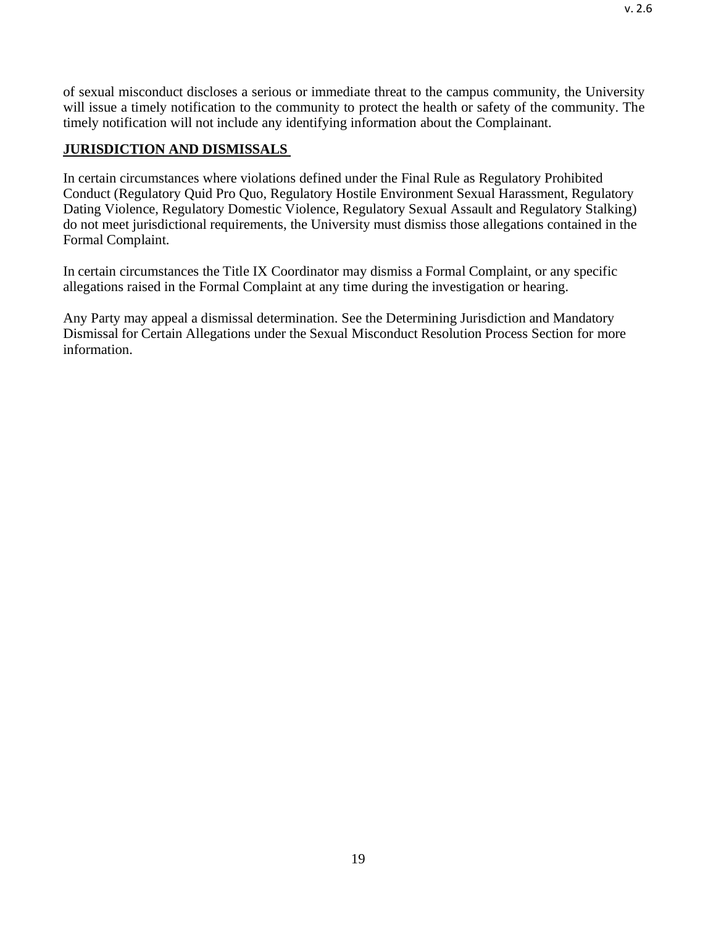of sexual misconduct discloses a serious or immediate threat to the campus community, the University will issue a timely notification to the community to protect the health or safety of the community. The timely notification will not include any identifying information about the Complainant.

# <span id="page-18-0"></span>**JURISDICTION AND DISMISSALS**

In certain circumstances where violations defined under the Final Rule as Regulatory Prohibited Conduct (Regulatory Quid Pro Quo, Regulatory Hostile Environment Sexual Harassment, Regulatory Dating Violence, Regulatory Domestic Violence, Regulatory Sexual Assault and Regulatory Stalking) do not meet jurisdictional requirements, the University must dismiss those allegations contained in the Formal Complaint.

In certain circumstances the Title IX Coordinator may dismiss a Formal Complaint, or any specific allegations raised in the Formal Complaint at any time during the investigation or hearing.

Any Party may appeal a dismissal determination. See the Determining Jurisdiction and Mandatory Dismissal for Certain Allegations under the Sexual Misconduct Resolution Process Section for more information.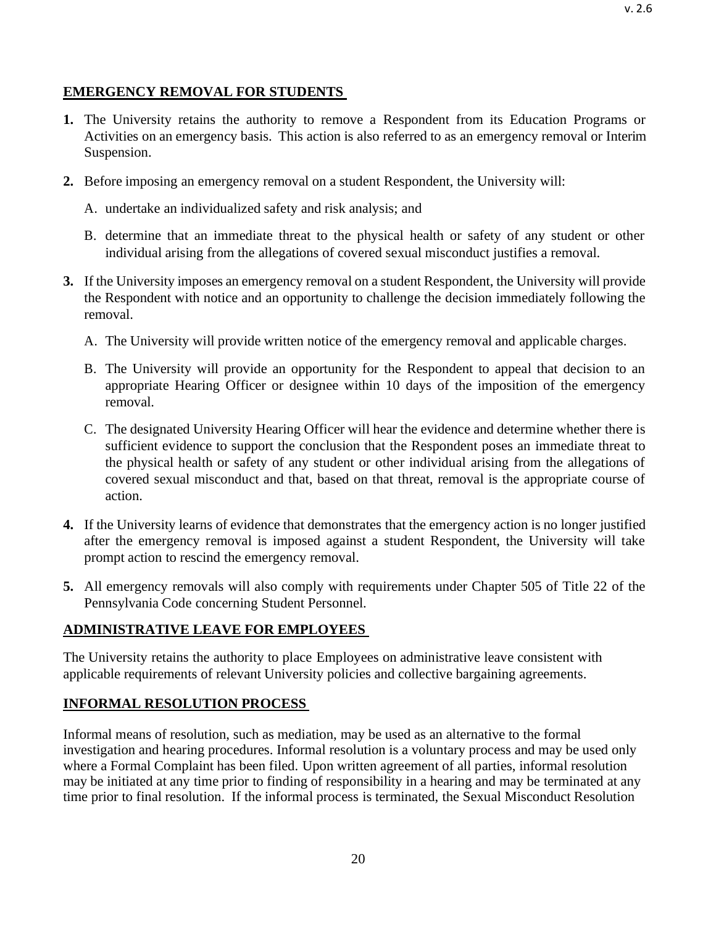## <span id="page-19-0"></span>**EMERGENCY REMOVAL FOR STUDENTS**

- **1.** The University retains the authority to remove a Respondent from its Education Programs or Activities on an emergency basis. This action is also referred to as an emergency removal or Interim Suspension.
- **2.** Before imposing an emergency removal on a student Respondent, the University will:
	- A. undertake an individualized safety and risk analysis; and
	- B. determine that an immediate threat to the physical health or safety of any student or other individual arising from the allegations of covered sexual misconduct justifies a removal.
- **3.** If the University imposes an emergency removal on a student Respondent, the University will provide the Respondent with notice and an opportunity to challenge the decision immediately following the removal.
	- A. The University will provide written notice of the emergency removal and applicable charges.
	- B. The University will provide an opportunity for the Respondent to appeal that decision to an appropriate Hearing Officer or designee within 10 days of the imposition of the emergency removal.
	- C. The designated University Hearing Officer will hear the evidence and determine whether there is sufficient evidence to support the conclusion that the Respondent poses an immediate threat to the physical health or safety of any student or other individual arising from the allegations of covered sexual misconduct and that, based on that threat, removal is the appropriate course of action.
- **4.** If the University learns of evidence that demonstrates that the emergency action is no longer justified after the emergency removal is imposed against a student Respondent, the University will take prompt action to rescind the emergency removal.
- **5.** All emergency removals will also comply with requirements under Chapter 505 of Title 22 of the Pennsylvania Code concerning Student Personnel.

# <span id="page-19-1"></span>**ADMINISTRATIVE LEAVE FOR EMPLOYEES**

The University retains the authority to place Employees on administrative leave consistent with applicable requirements of relevant University policies and collective bargaining agreements.

# <span id="page-19-2"></span>**INFORMAL RESOLUTION PROCESS**

Informal means of resolution, such as mediation, may be used as an alternative to the formal investigation and hearing procedures. Informal resolution is a voluntary process and may be used only where a Formal Complaint has been filed. Upon written agreement of all parties, informal resolution may be initiated at any time prior to finding of responsibility in a hearing and may be terminated at any time prior to final resolution. If the informal process is terminated, the Sexual Misconduct Resolution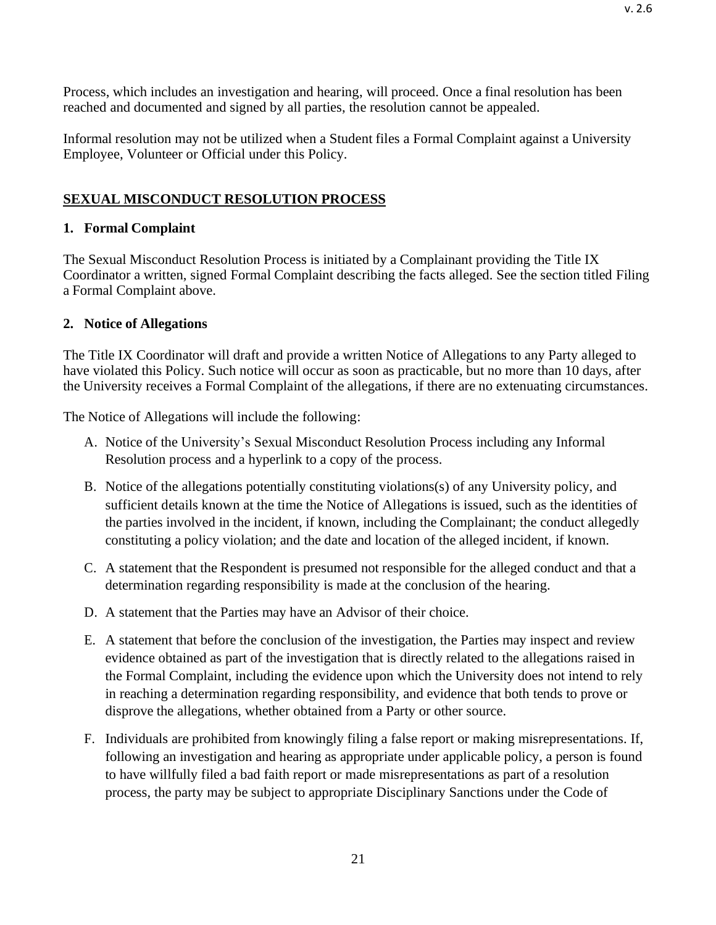Process, which includes an investigation and hearing, will proceed. Once a final resolution has been reached and documented and signed by all parties, the resolution cannot be appealed.

Informal resolution may not be utilized when a Student files a Formal Complaint against a University Employee, Volunteer or Official under this Policy.

# <span id="page-20-0"></span>**SEXUAL MISCONDUCT RESOLUTION PROCESS**

# <span id="page-20-1"></span>**1. Formal Complaint**

The Sexual Misconduct Resolution Process is initiated by a Complainant providing the Title IX Coordinator a written, signed Formal Complaint describing the facts alleged. See the section titled Filing a Formal Complaint above.

# <span id="page-20-2"></span>**2. Notice of Allegations**

The Title IX Coordinator will draft and provide a written Notice of Allegations to any Party alleged to have violated this Policy. Such notice will occur as soon as practicable, but no more than 10 days, after the University receives a Formal Complaint of the allegations, if there are no extenuating circumstances.

The Notice of Allegations will include the following:

- A. Notice of the University's Sexual Misconduct Resolution Process including any Informal Resolution process and a hyperlink to a copy of the process.
- B. Notice of the allegations potentially constituting violations(s) of any University policy, and sufficient details known at the time the Notice of Allegations is issued, such as the identities of the parties involved in the incident, if known, including the Complainant; the conduct allegedly constituting a policy violation; and the date and location of the alleged incident, if known.
- C. A statement that the Respondent is presumed not responsible for the alleged conduct and that a determination regarding responsibility is made at the conclusion of the hearing.
- D. A statement that the Parties may have an Advisor of their choice.
- E. A statement that before the conclusion of the investigation, the Parties may inspect and review evidence obtained as part of the investigation that is directly related to the allegations raised in the Formal Complaint, including the evidence upon which the University does not intend to rely in reaching a determination regarding responsibility, and evidence that both tends to prove or disprove the allegations, whether obtained from a Party or other source.
- F. Individuals are prohibited from knowingly filing a false report or making misrepresentations. If, following an investigation and hearing as appropriate under applicable policy, a person is found to have willfully filed a bad faith report or made misrepresentations as part of a resolution process, the party may be subject to appropriate Disciplinary Sanctions under the Code of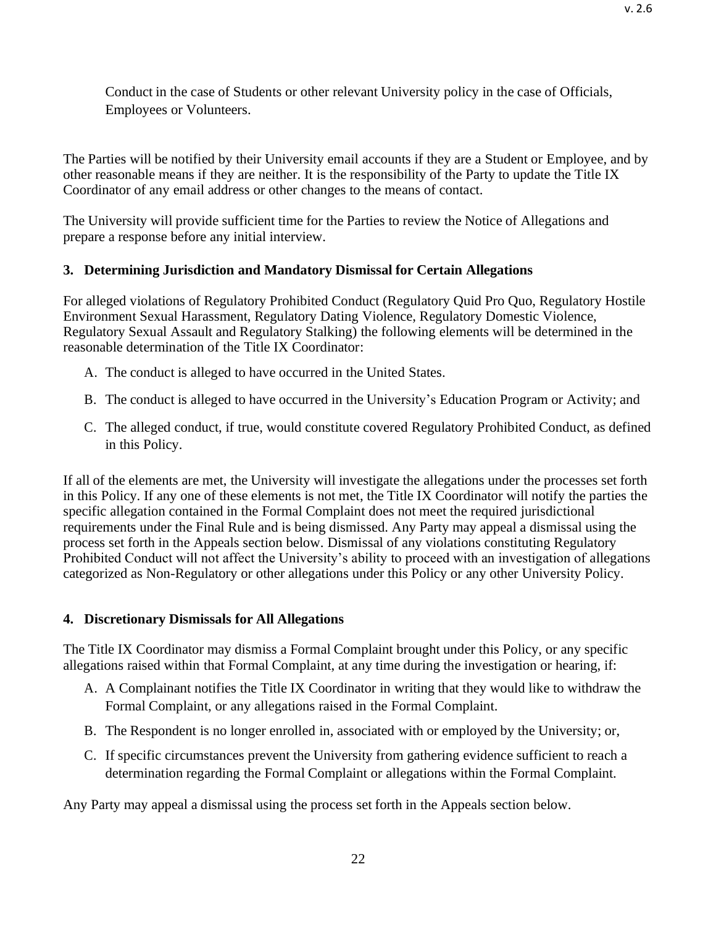Conduct in the case of Students or other relevant University policy in the case of Officials, Employees or Volunteers.

The Parties will be notified by their University email accounts if they are a Student or Employee, and by other reasonable means if they are neither. It is the responsibility of the Party to update the Title IX Coordinator of any email address or other changes to the means of contact.

The University will provide sufficient time for the Parties to review the Notice of Allegations and prepare a response before any initial interview.

# <span id="page-21-0"></span>**3. Determining Jurisdiction and Mandatory Dismissal for Certain Allegations**

For alleged violations of Regulatory Prohibited Conduct (Regulatory Quid Pro Quo, Regulatory Hostile Environment Sexual Harassment, Regulatory Dating Violence, Regulatory Domestic Violence, Regulatory Sexual Assault and Regulatory Stalking) the following elements will be determined in the reasonable determination of the Title IX Coordinator:

- A. The conduct is alleged to have occurred in the United States.
- B. The conduct is alleged to have occurred in the University's Education Program or Activity; and
- C. The alleged conduct, if true, would constitute covered Regulatory Prohibited Conduct, as defined in this Policy.

If all of the elements are met, the University will investigate the allegations under the processes set forth in this Policy. If any one of these elements is not met, the Title IX Coordinator will notify the parties the specific allegation contained in the Formal Complaint does not meet the required jurisdictional requirements under the Final Rule and is being dismissed. Any Party may appeal a dismissal using the process set forth in the Appeals section below. Dismissal of any violations constituting Regulatory Prohibited Conduct will not affect the University's ability to proceed with an investigation of allegations categorized as Non-Regulatory or other allegations under this Policy or any other University Policy.

# <span id="page-21-1"></span>**4. Discretionary Dismissals for All Allegations**

The Title IX Coordinator may dismiss a Formal Complaint brought under this Policy, or any specific allegations raised within that Formal Complaint, at any time during the investigation or hearing, if:

- A. A Complainant notifies the Title IX Coordinator in writing that they would like to withdraw the Formal Complaint, or any allegations raised in the Formal Complaint.
- B. The Respondent is no longer enrolled in, associated with or employed by the University; or,
- C. If specific circumstances prevent the University from gathering evidence sufficient to reach a determination regarding the Formal Complaint or allegations within the Formal Complaint.

Any Party may appeal a dismissal using the process set forth in the Appeals section below.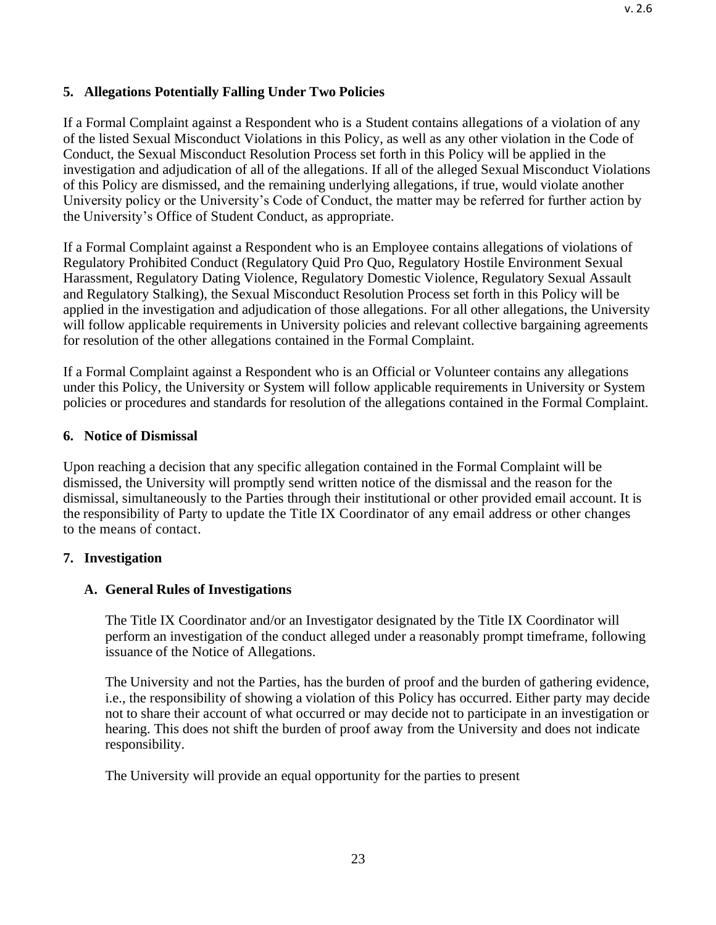### <span id="page-22-0"></span>**5. Allegations Potentially Falling Under Two Policies**

If a Formal Complaint against a Respondent who is a Student contains allegations of a violation of any of the listed Sexual Misconduct Violations in this Policy, as well as any other violation in the Code of Conduct, the Sexual Misconduct Resolution Process set forth in this Policy will be applied in the investigation and adjudication of all of the allegations. If all of the alleged Sexual Misconduct Violations of this Policy are dismissed, and the remaining underlying allegations, if true, would violate another University policy or the University's Code of Conduct, the matter may be referred for further action by the University's Office of Student Conduct, as appropriate.

If a Formal Complaint against a Respondent who is an Employee contains allegations of violations of Regulatory Prohibited Conduct (Regulatory Quid Pro Quo, Regulatory Hostile Environment Sexual Harassment, Regulatory Dating Violence, Regulatory Domestic Violence, Regulatory Sexual Assault and Regulatory Stalking), the Sexual Misconduct Resolution Process set forth in this Policy will be applied in the investigation and adjudication of those allegations. For all other allegations, the University will follow applicable requirements in University policies and relevant collective bargaining agreements for resolution of the other allegations contained in the Formal Complaint.

If a Formal Complaint against a Respondent who is an Official or Volunteer contains any allegations under this Policy, the University or System will follow applicable requirements in University or System policies or procedures and standards for resolution of the allegations contained in the Formal Complaint.

#### <span id="page-22-1"></span>**6. Notice of Dismissal**

Upon reaching a decision that any specific allegation contained in the Formal Complaint will be dismissed, the University will promptly send written notice of the dismissal and the reason for the dismissal, simultaneously to the Parties through their institutional or other provided email account. It is the responsibility of Party to update the Title IX Coordinator of any email address or other changes to the means of contact.

#### <span id="page-22-2"></span>**7. Investigation**

#### <span id="page-22-3"></span>**A. General Rules of Investigations**

The Title IX Coordinator and/or an Investigator designated by the Title IX Coordinator will perform an investigation of the conduct alleged under a reasonably prompt timeframe, following issuance of the Notice of Allegations.

The University and not the Parties, has the burden of proof and the burden of gathering evidence, i.e., the responsibility of showing a violation of this Policy has occurred. Either party may decide not to share their account of what occurred or may decide not to participate in an investigation or hearing. This does not shift the burden of proof away from the University and does not indicate responsibility.

The University will provide an equal opportunity for the parties to present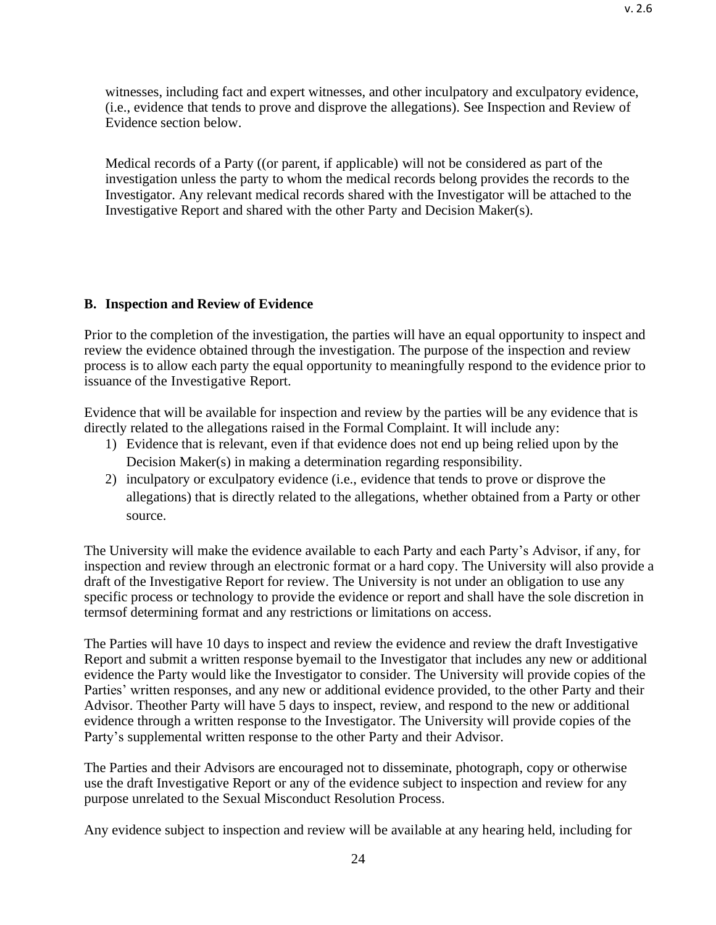witnesses, including fact and expert witnesses, and other inculpatory and exculpatory evidence, (i.e., evidence that tends to prove and disprove the allegations). See Inspection and Review of Evidence section below.

Medical records of a Party ((or parent, if applicable) will not be considered as part of the investigation unless the party to whom the medical records belong provides the records to the Investigator. Any relevant medical records shared with the Investigator will be attached to the Investigative Report and shared with the other Party and Decision Maker(s).

### <span id="page-23-0"></span>**B. Inspection and Review of Evidence**

Prior to the completion of the investigation, the parties will have an equal opportunity to inspect and review the evidence obtained through the investigation. The purpose of the inspection and review process is to allow each party the equal opportunity to meaningfully respond to the evidence prior to issuance of the Investigative Report.

Evidence that will be available for inspection and review by the parties will be any evidence that is directly related to the allegations raised in the Formal Complaint. It will include any:

- 1) Evidence that is relevant, even if that evidence does not end up being relied upon by the Decision Maker(s) in making a determination regarding responsibility.
- 2) inculpatory or exculpatory evidence (i.e., evidence that tends to prove or disprove the allegations) that is directly related to the allegations, whether obtained from a Party or other source.

The University will make the evidence available to each Party and each Party's Advisor, if any, for inspection and review through an electronic format or a hard copy. The University will also provide a draft of the Investigative Report for review. The University is not under an obligation to use any specific process or technology to provide the evidence or report and shall have the sole discretion in termsof determining format and any restrictions or limitations on access.

The Parties will have 10 days to inspect and review the evidence and review the draft Investigative Report and submit a written response byemail to the Investigator that includes any new or additional evidence the Party would like the Investigator to consider. The University will provide copies of the Parties' written responses, and any new or additional evidence provided, to the other Party and their Advisor. Theother Party will have 5 days to inspect, review, and respond to the new or additional evidence through a written response to the Investigator. The University will provide copies of the Party's supplemental written response to the other Party and their Advisor.

The Parties and their Advisors are encouraged not to disseminate, photograph, copy or otherwise use the draft Investigative Report or any of the evidence subject to inspection and review for any purpose unrelated to the Sexual Misconduct Resolution Process.

Any evidence subject to inspection and review will be available at any hearing held, including for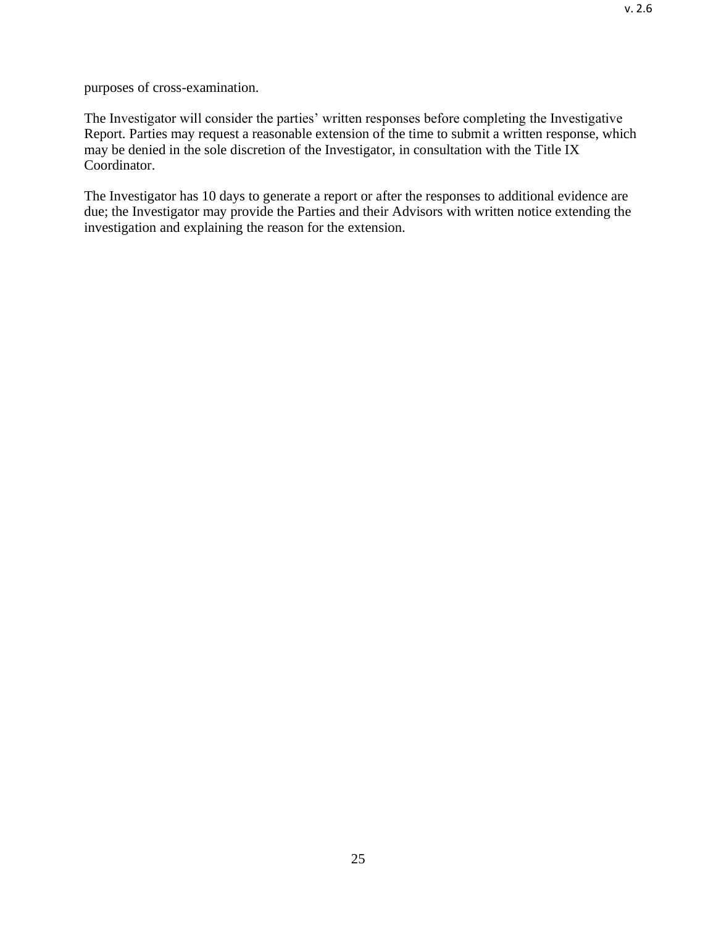purposes of cross-examination.

The Investigator will consider the parties' written responses before completing the Investigative Report. Parties may request a reasonable extension of the time to submit a written response, which may be denied in the sole discretion of the Investigator, in consultation with the Title IX Coordinator.

The Investigator has 10 days to generate a report or after the responses to additional evidence are due; the Investigator may provide the Parties and their Advisors with written notice extending the investigation and explaining the reason for the extension.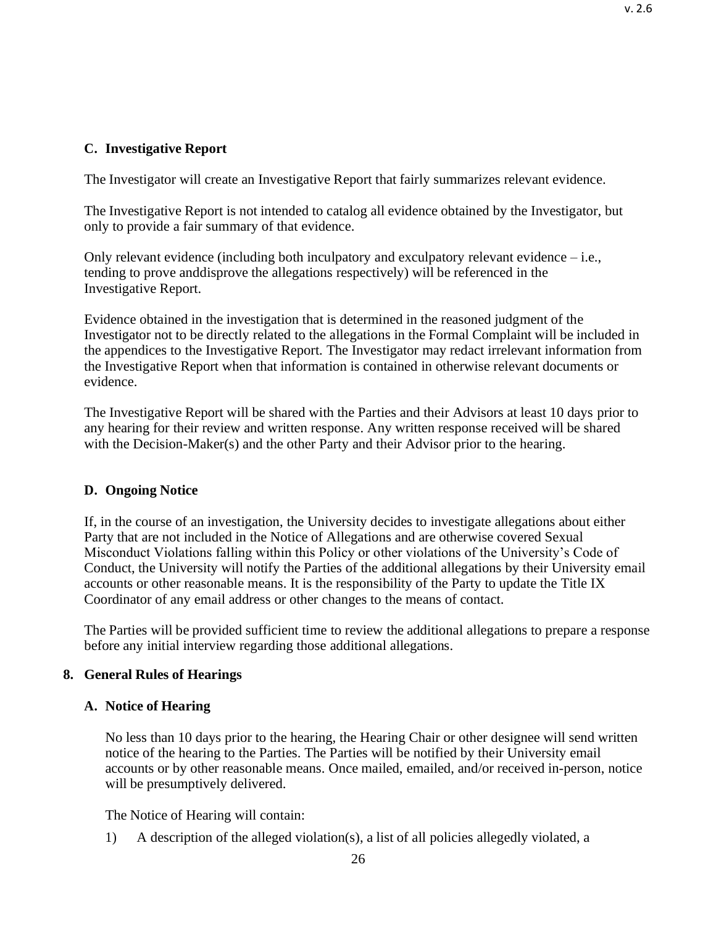# **C. Investigative Report**

The Investigator will create an Investigative Report that fairly summarizes relevant evidence.

The Investigative Report is not intended to catalog all evidence obtained by the Investigator, but only to provide a fair summary of that evidence.

Only relevant evidence (including both inculpatory and exculpatory relevant evidence – i.e., tending to prove anddisprove the allegations respectively) will be referenced in the Investigative Report.

Evidence obtained in the investigation that is determined in the reasoned judgment of the Investigator not to be directly related to the allegations in the Formal Complaint will be included in the appendices to the Investigative Report. The Investigator may redact irrelevant information from the Investigative Report when that information is contained in otherwise relevant documents or evidence.

The Investigative Report will be shared with the Parties and their Advisors at least 10 days prior to any hearing for their review and written response. Any written response received will be shared with the Decision-Maker(s) and the other Party and their Advisor prior to the hearing.

## **D. Ongoing Notice**

If, in the course of an investigation, the University decides to investigate allegations about either Party that are not included in the Notice of Allegations and are otherwise covered Sexual Misconduct Violations falling within this Policy or other violations of the University's Code of Conduct, the University will notify the Parties of the additional allegations by their University email accounts or other reasonable means. It is the responsibility of the Party to update the Title IX Coordinator of any email address or other changes to the means of contact.

The Parties will be provided sufficient time to review the additional allegations to prepare a response before any initial interview regarding those additional allegations.

# <span id="page-25-0"></span>**8. General Rules of Hearings**

## <span id="page-25-1"></span>**A. Notice of Hearing**

No less than 10 days prior to the hearing, the Hearing Chair or other designee will send written notice of the hearing to the Parties. The Parties will be notified by their University email accounts or by other reasonable means. Once mailed, emailed, and/or received in-person, notice will be presumptively delivered.

The Notice of Hearing will contain:

1) A description of the alleged violation(s), a list of all policies allegedly violated, a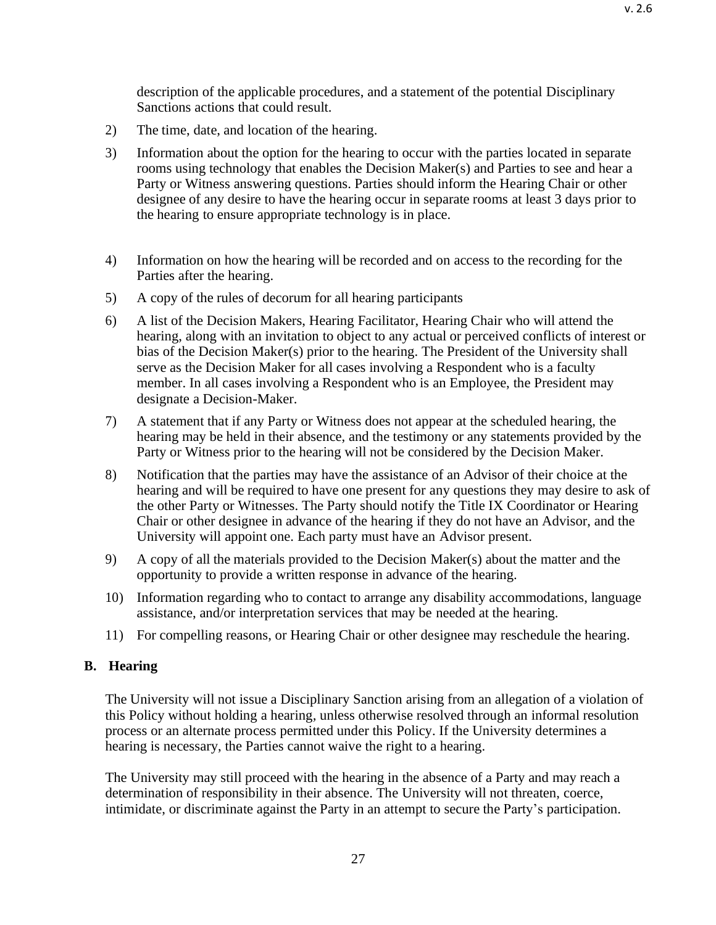description of the applicable procedures, and a statement of the potential Disciplinary Sanctions actions that could result.

- 2) The time, date, and location of the hearing.
- 3) Information about the option for the hearing to occur with the parties located in separate rooms using technology that enables the Decision Maker(s) and Parties to see and hear a Party or Witness answering questions. Parties should inform the Hearing Chair or other designee of any desire to have the hearing occur in separate rooms at least 3 days prior to the hearing to ensure appropriate technology is in place.
- 4) Information on how the hearing will be recorded and on access to the recording for the Parties after the hearing.
- 5) A copy of the rules of decorum for all hearing participants
- 6) A list of the Decision Makers, Hearing Facilitator, Hearing Chair who will attend the hearing, along with an invitation to object to any actual or perceived conflicts of interest or bias of the Decision Maker(s) prior to the hearing. The President of the University shall serve as the Decision Maker for all cases involving a Respondent who is a faculty member. In all cases involving a Respondent who is an Employee, the President may designate a Decision-Maker.
- 7) A statement that if any Party or Witness does not appear at the scheduled hearing, the hearing may be held in their absence, and the testimony or any statements provided by the Party or Witness prior to the hearing will not be considered by the Decision Maker.
- 8) Notification that the parties may have the assistance of an Advisor of their choice at the hearing and will be required to have one present for any questions they may desire to ask of the other Party or Witnesses. The Party should notify the Title IX Coordinator or Hearing Chair or other designee in advance of the hearing if they do not have an Advisor, and the University will appoint one. Each party must have an Advisor present.
- 9) A copy of all the materials provided to the Decision Maker(s) about the matter and the opportunity to provide a written response in advance of the hearing.
- 10) Information regarding who to contact to arrange any disability accommodations, language assistance, and/or interpretation services that may be needed at the hearing.
- 11) For compelling reasons, or Hearing Chair or other designee may reschedule the hearing.

#### <span id="page-26-0"></span>**B. Hearing**

The University will not issue a Disciplinary Sanction arising from an allegation of a violation of this Policy without holding a hearing*,* unless otherwise resolved through an informal resolution process or an alternate process permitted under this Policy. If the University determines a hearing is necessary, the Parties cannot waive the right to a hearing.

The University may still proceed with the hearing in the absence of a Party and may reach a determination of responsibility in their absence. The University will not threaten, coerce, intimidate, or discriminate against the Party in an attempt to secure the Party's participation.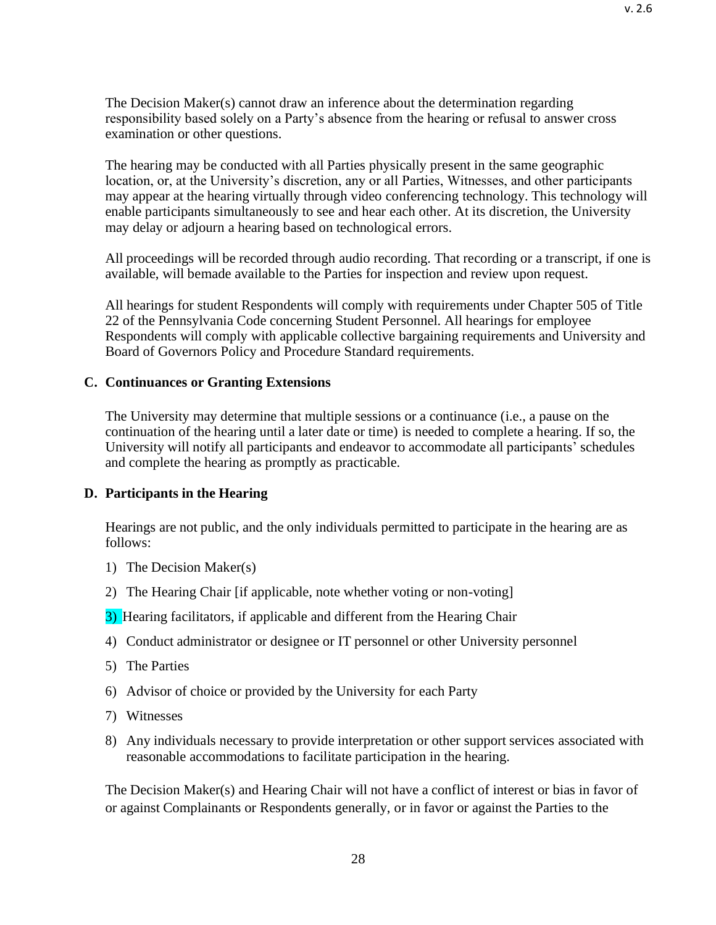The Decision Maker(s) cannot draw an inference about the determination regarding responsibility based solely on a Party's absence from the hearing or refusal to answer cross examination or other questions.

The hearing may be conducted with all Parties physically present in the same geographic location, or, at the University's discretion, any or all Parties, Witnesses, and other participants may appear at the hearing virtually through video conferencing technology. This technology will enable participants simultaneously to see and hear each other. At its discretion, the University may delay or adjourn a hearing based on technological errors.

All proceedings will be recorded through audio recording. That recording or a transcript, if one is available, will bemade available to the Parties for inspection and review upon request.

All hearings for student Respondents will comply with requirements under Chapter 505 of Title 22 of the Pennsylvania Code concerning Student Personnel. All hearings for employee Respondents will comply with applicable collective bargaining requirements and University and Board of Governors Policy and Procedure Standard requirements.

### <span id="page-27-0"></span>**C. Continuances or Granting Extensions**

The University may determine that multiple sessions or a continuance (i.e., a pause on the continuation of the hearing until a later date or time) is needed to complete a hearing. If so, the University will notify all participants and endeavor to accommodate all participants' schedules and complete the hearing as promptly as practicable.

#### <span id="page-27-1"></span>**D. Participants in the Hearing**

Hearings are not public, and the only individuals permitted to participate in the hearing are as follows:

- 1) The Decision Maker(s)
- 2) The Hearing Chair [if applicable, note whether voting or non-voting]

3) Hearing facilitators, if applicable and different from the Hearing Chair

- 4) Conduct administrator or designee or IT personnel or other University personnel
- 5) The Parties
- 6) Advisor of choice or provided by the University for each Party
- 7) Witnesses
- 8) Any individuals necessary to provide interpretation or other support services associated with reasonable accommodations to facilitate participation in the hearing.

The Decision Maker(s) and Hearing Chair will not have a conflict of interest or bias in favor of or against Complainants or Respondents generally, or in favor or against the Parties to the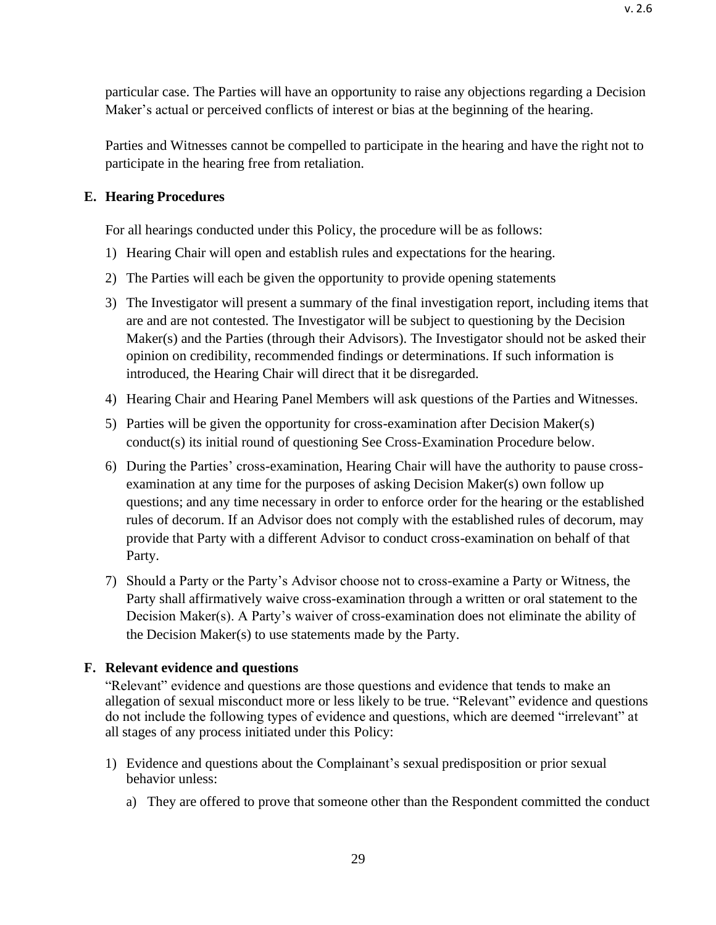particular case. The Parties will have an opportunity to raise any objections regarding a Decision Maker's actual or perceived conflicts of interest or bias at the beginning of the hearing.

Parties and Witnesses cannot be compelled to participate in the hearing and have the right not to participate in the hearing free from retaliation.

### <span id="page-28-0"></span>**E. Hearing Procedures**

For all hearings conducted under this Policy, the procedure will be as follows:

- 1) Hearing Chair will open and establish rules and expectations for the hearing.
- 2) The Parties will each be given the opportunity to provide opening statements
- 3) The Investigator will present a summary of the final investigation report, including items that are and are not contested. The Investigator will be subject to questioning by the Decision Maker(s) and the Parties (through their Advisors). The Investigator should not be asked their opinion on credibility, recommended findings or determinations. If such information is introduced, the Hearing Chair will direct that it be disregarded.
- 4) Hearing Chair and Hearing Panel Members will ask questions of the Parties and Witnesses.
- 5) Parties will be given the opportunity for cross-examination after Decision Maker(s) conduct(s) its initial round of questioning See Cross-Examination Procedure below.
- 6) During the Parties' cross-examination, Hearing Chair will have the authority to pause crossexamination at any time for the purposes of asking Decision Maker(s) own follow up questions; and any time necessary in order to enforce order for the hearing or the established rules of decorum. If an Advisor does not comply with the established rules of decorum, may provide that Party with a different Advisor to conduct cross-examination on behalf of that Party.
- 7) Should a Party or the Party's Advisor choose not to cross-examine a Party or Witness, the Party shall affirmatively waive cross-examination through a written or oral statement to the Decision Maker(s). A Party's waiver of cross-examination does not eliminate the ability of the Decision Maker(s) to use statements made by the Party.

#### <span id="page-28-1"></span>**F. Relevant evidence and questions**

"Relevant" evidence and questions are those questions and evidence that tends to make an allegation of sexual misconduct more or less likely to be true. "Relevant" evidence and questions do not include the following types of evidence and questions, which are deemed "irrelevant" at all stages of any process initiated under this Policy:

- 1) Evidence and questions about the Complainant's sexual predisposition or prior sexual behavior unless:
	- a) They are offered to prove that someone other than the Respondent committed the conduct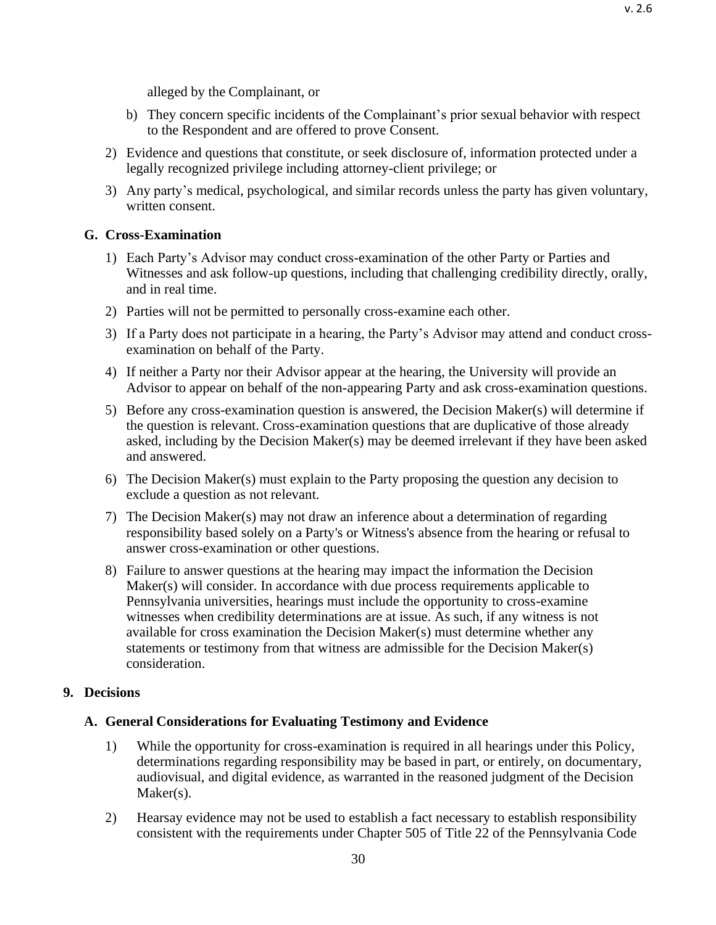v. 2.6

alleged by the Complainant, or

- b) They concern specific incidents of the Complainant's prior sexual behavior with respect to the Respondent and are offered to prove Consent.
- 2) Evidence and questions that constitute, or seek disclosure of, information protected under a legally recognized privilege including attorney-client privilege; or
- 3) Any party's medical, psychological, and similar records unless the party has given voluntary, written consent.

## <span id="page-29-0"></span>**G. Cross-Examination**

- 1) Each Party's Advisor may conduct cross-examination of the other Party or Parties and Witnesses and ask follow-up questions, including that challenging credibility directly, orally, and in real time.
- 2) Parties will not be permitted to personally cross-examine each other.
- 3) If a Party does not participate in a hearing, the Party's Advisor may attend and conduct crossexamination on behalf of the Party.
- 4) If neither a Party nor their Advisor appear at the hearing, the University will provide an Advisor to appear on behalf of the non-appearing Party and ask cross-examination questions.
- 5) Before any cross-examination question is answered, the Decision Maker(s) will determine if the question is relevant. Cross-examination questions that are duplicative of those already asked, including by the Decision Maker(s) may be deemed irrelevant if they have been asked and answered.
- 6) The Decision Maker(s) must explain to the Party proposing the question any decision to exclude a question as not relevant.
- 7) The Decision Maker(s) may not draw an inference about a determination of regarding responsibility based solely on a Party's or Witness's absence from the hearing or refusal to answer cross-examination or other questions.
- 8) Failure to answer questions at the hearing may impact the information the Decision Maker(s) will consider. In accordance with due process requirements applicable to Pennsylvania universities, hearings must include the opportunity to cross-examine witnesses when credibility determinations are at issue. As such, if any witness is not available for cross examination the Decision Maker(s) must determine whether any statements or testimony from that witness are admissible for the Decision Maker(s) consideration.

# <span id="page-29-1"></span>**9. Decisions**

# <span id="page-29-2"></span>**A. General Considerations for Evaluating Testimony and Evidence**

- 1) While the opportunity for cross-examination is required in all hearings under this Policy, determinations regarding responsibility may be based in part, or entirely, on documentary, audiovisual, and digital evidence, as warranted in the reasoned judgment of the Decision Maker(s).
- 2) Hearsay evidence may not be used to establish a fact necessary to establish responsibility consistent with the requirements under Chapter 505 of Title 22 of the Pennsylvania Code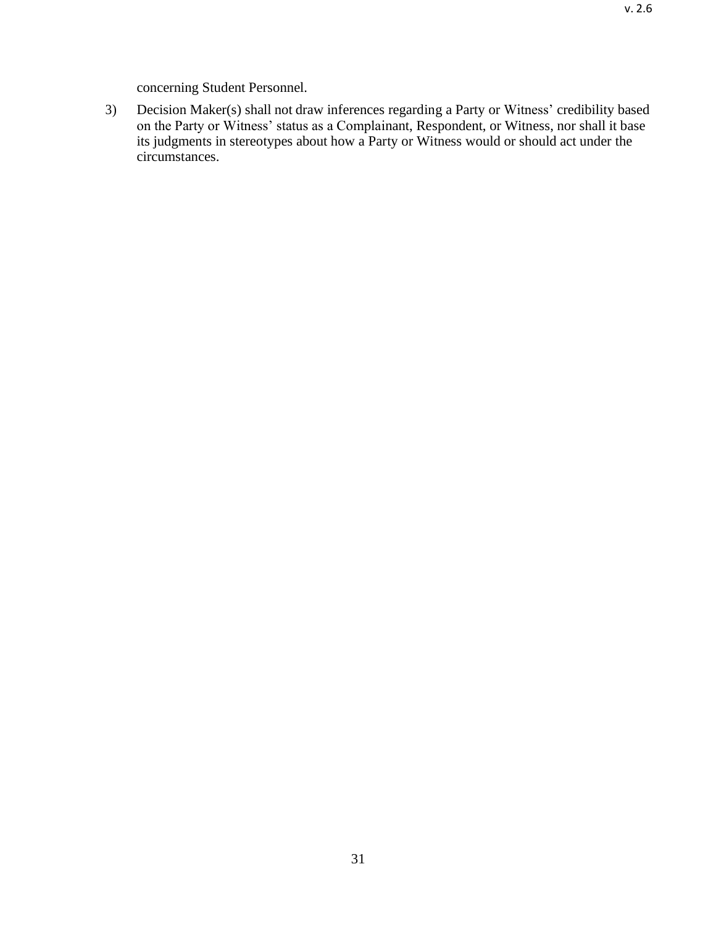concerning Student Personnel.

3) Decision Maker(s) shall not draw inferences regarding a Party or Witness' credibility based on the Party or Witness' status as a Complainant, Respondent, or Witness, nor shall it base its judgments in stereotypes about how a Party or Witness would or should act under the circumstances.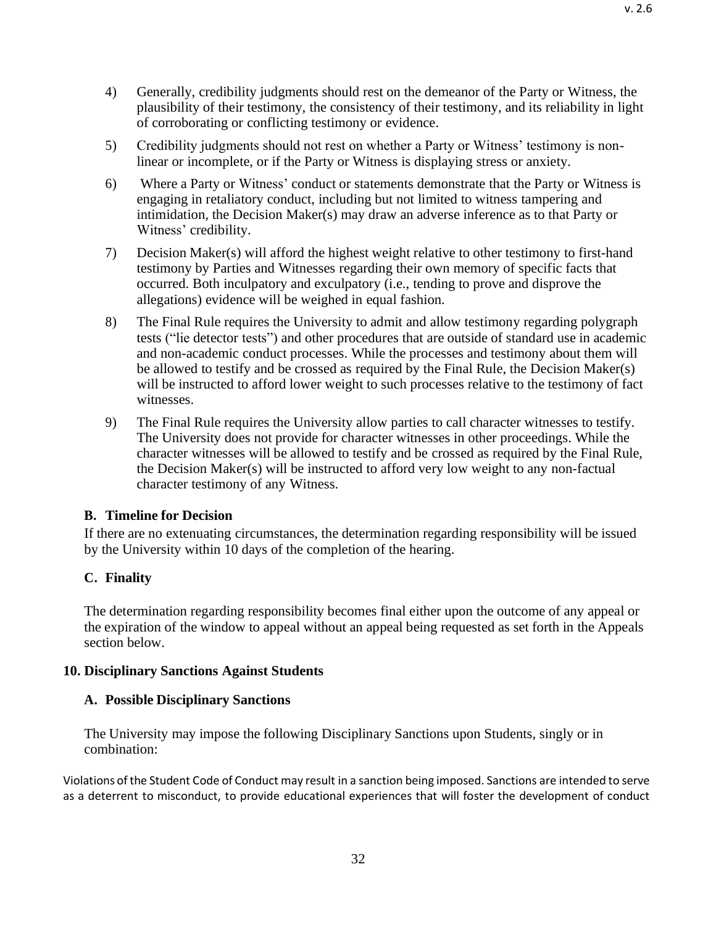- 4) Generally, credibility judgments should rest on the demeanor of the Party or Witness, the plausibility of their testimony, the consistency of their testimony, and its reliability in light of corroborating or conflicting testimony or evidence.
- 5) Credibility judgments should not rest on whether a Party or Witness' testimony is nonlinear or incomplete, or if the Party or Witness is displaying stress or anxiety.
- 6) Where a Party or Witness' conduct or statements demonstrate that the Party or Witness is engaging in retaliatory conduct, including but not limited to witness tampering and intimidation, the Decision Maker(s) may draw an adverse inference as to that Party or Witness' credibility.
- 7) Decision Maker(s) will afford the highest weight relative to other testimony to first-hand testimony by Parties and Witnesses regarding their own memory of specific facts that occurred. Both inculpatory and exculpatory (i.e., tending to prove and disprove the allegations) evidence will be weighed in equal fashion.
- 8) The Final Rule requires the University to admit and allow testimony regarding polygraph tests ("lie detector tests") and other procedures that are outside of standard use in academic and non-academic conduct processes. While the processes and testimony about them will be allowed to testify and be crossed as required by the Final Rule, the Decision Maker(s) will be instructed to afford lower weight to such processes relative to the testimony of fact witnesses.
- 9) The Final Rule requires the University allow parties to call character witnesses to testify. The University does not provide for character witnesses in other proceedings. While the character witnesses will be allowed to testify and be crossed as required by the Final Rule, the Decision Maker(s) will be instructed to afford very low weight to any non-factual character testimony of any Witness.

## <span id="page-31-0"></span>**B. Timeline for Decision**

If there are no extenuating circumstances, the determination regarding responsibility will be issued by the University within 10 days of the completion of the hearing.

## <span id="page-31-1"></span>**C. Finality**

The determination regarding responsibility becomes final either upon the outcome of any appeal or the expiration of the window to appeal without an appeal being requested as set forth in the Appeals section below.

#### <span id="page-31-3"></span><span id="page-31-2"></span>**10. Disciplinary Sanctions Against Students**

#### **A. Possible Disciplinary Sanctions**

The University may impose the following Disciplinary Sanctions upon Students, singly or in combination:

Violations of the Student Code of Conduct may result in a sanction being imposed. Sanctions are intended to serve as a deterrent to misconduct, to provide educational experiences that will foster the development of conduct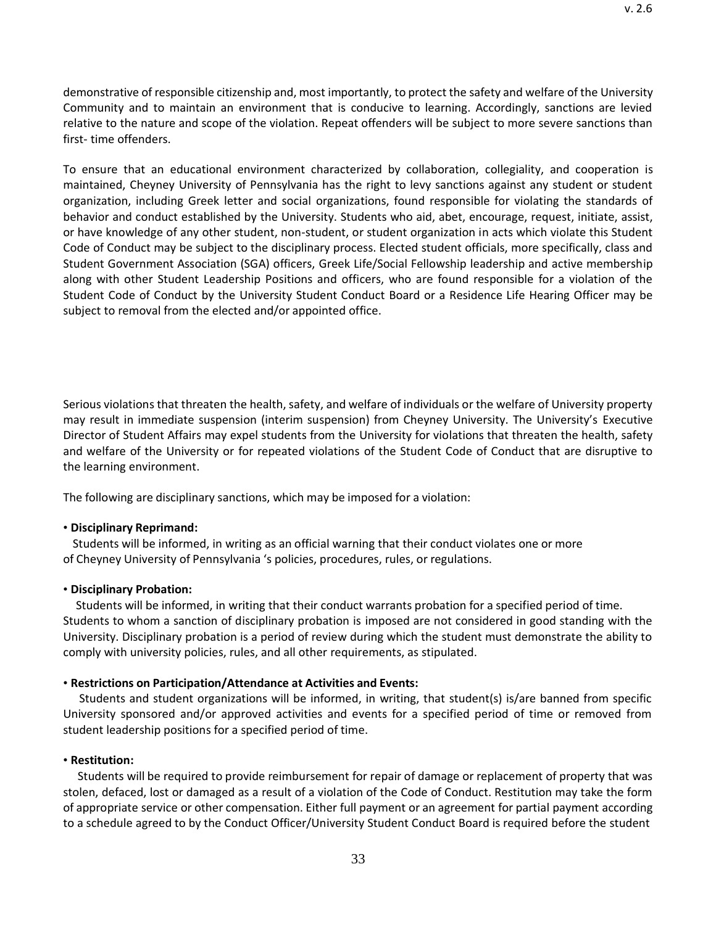demonstrative of responsible citizenship and, most importantly, to protect the safety and welfare of the University Community and to maintain an environment that is conducive to learning. Accordingly, sanctions are levied relative to the nature and scope of the violation. Repeat offenders will be subject to more severe sanctions than first- time offenders.

To ensure that an educational environment characterized by collaboration, collegiality, and cooperation is maintained, Cheyney University of Pennsylvania has the right to levy sanctions against any student or student organization, including Greek letter and social organizations, found responsible for violating the standards of behavior and conduct established by the University. Students who aid, abet, encourage, request, initiate, assist, or have knowledge of any other student, non-student, or student organization in acts which violate this Student Code of Conduct may be subject to the disciplinary process. Elected student officials, more specifically, class and Student Government Association (SGA) officers, Greek Life/Social Fellowship leadership and active membership along with other Student Leadership Positions and officers, who are found responsible for a violation of the Student Code of Conduct by the University Student Conduct Board or a Residence Life Hearing Officer may be subject to removal from the elected and/or appointed office.

Serious violations that threaten the health, safety, and welfare of individuals or the welfare of University property may result in immediate suspension (interim suspension) from Cheyney University. The University's Executive Director of Student Affairs may expel students from the University for violations that threaten the health, safety and welfare of the University or for repeated violations of the Student Code of Conduct that are disruptive to the learning environment.

The following are disciplinary sanctions, which may be imposed for a violation:

#### • **Disciplinary Reprimand:**

Students will be informed, in writing as an official warning that their conduct violates one or more of Cheyney University of Pennsylvania 's policies, procedures, rules, or regulations.

#### • **Disciplinary Probation:**

Students will be informed, in writing that their conduct warrants probation for a specified period of time. Students to whom a sanction of disciplinary probation is imposed are not considered in good standing with the University. Disciplinary probation is a period of review during which the student must demonstrate the ability to comply with university policies, rules, and all other requirements, as stipulated.

#### • **Restrictions on Participation/Attendance at Activities and Events:**

Students and student organizations will be informed, in writing, that student(s) is/are banned from specific University sponsored and/or approved activities and events for a specified period of time or removed from student leadership positions for a specified period of time.

#### • **Restitution:**

Students will be required to provide reimbursement for repair of damage or replacement of property that was stolen, defaced, lost or damaged as a result of a violation of the Code of Conduct. Restitution may take the form of appropriate service or other compensation. Either full payment or an agreement for partial payment according to a schedule agreed to by the Conduct Officer/University Student Conduct Board is required before the student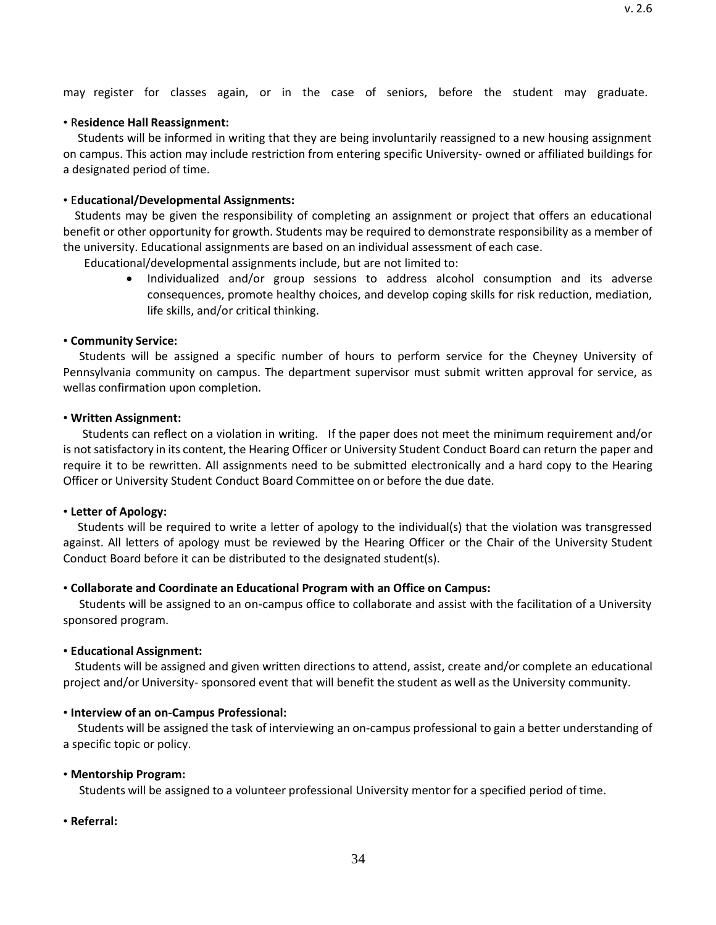may register for classes again, or in the case of seniors, before the student may graduate.

## • R**esidence Hall Reassignment:**

Students will be informed in writing that they are being involuntarily reassigned to a new housing assignment on campus. This action may include restriction from entering specific University- owned or affiliated buildings for a designated period of time.

## • E**ducational/Developmental Assignments:**

Students may be given the responsibility of completing an assignment or project that offers an educational benefit or other opportunity for growth. Students may be required to demonstrate responsibility as a member of the university. Educational assignments are based on an individual assessment of each case.

Educational/developmental assignments include, but are not limited to:

• Individualized and/or group sessions to address alcohol consumption and its adverse consequences, promote healthy choices, and develop coping skills for risk reduction, mediation, life skills, and/or critical thinking.

## • **Community Service:**

Students will be assigned a specific number of hours to perform service for the Cheyney University of Pennsylvania community on campus. The department supervisor must submit written approval for service, as wellas confirmation upon completion.

## • **Written Assignment:**

Students can reflect on a violation in writing. If the paper does not meet the minimum requirement and/or is not satisfactory in its content, the Hearing Officer or University Student Conduct Board can return the paper and require it to be rewritten. All assignments need to be submitted electronically and a hard copy to the Hearing Officer or University Student Conduct Board Committee on or before the due date.

## • **Letter of Apology:**

Students will be required to write a letter of apology to the individual(s) that the violation was transgressed against. All letters of apology must be reviewed by the Hearing Officer or the Chair of the University Student Conduct Board before it can be distributed to the designated student(s).

# • **Collaborate and Coordinate an Educational Program with an Office on Campus:**

Students will be assigned to an on-campus office to collaborate and assist with the facilitation of a University sponsored program.

# • **Educational Assignment:**

Students will be assigned and given written directions to attend, assist, create and/or complete an educational project and/or University- sponsored event that will benefit the student as well as the University community.

# • **Interview of an on-Campus Professional:**

Students will be assigned the task of interviewing an on-campus professional to gain a better understanding of a specific topic or policy.

# • **Mentorship Program:**

Students will be assigned to a volunteer professional University mentor for a specified period of time.

• **Referral:**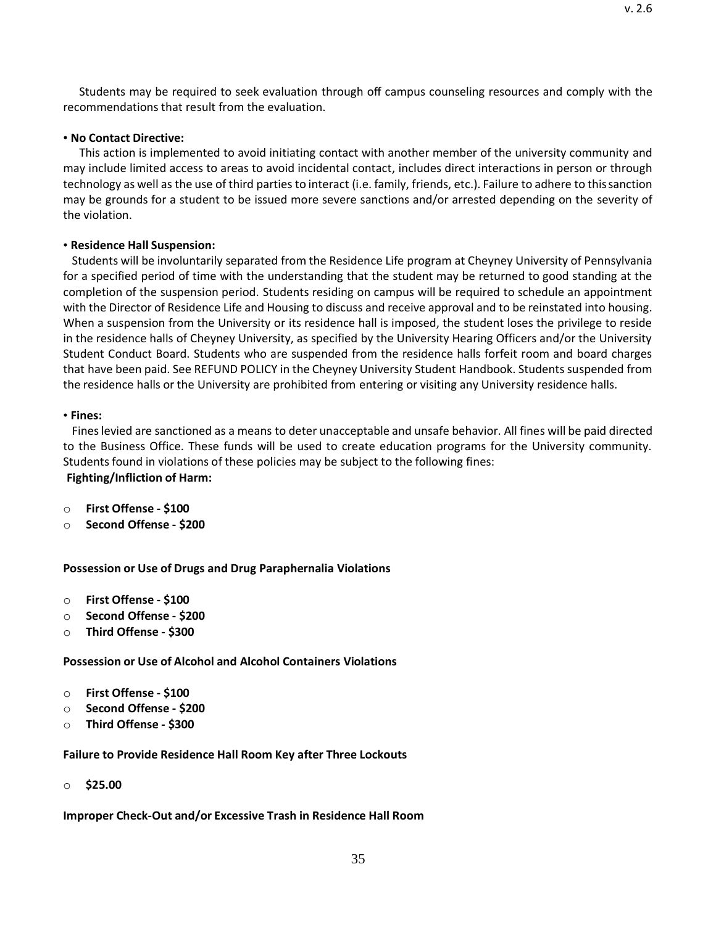Students may be required to seek evaluation through off campus counseling resources and comply with the recommendations that result from the evaluation.

### • **No Contact Directive:**

This action is implemented to avoid initiating contact with another member of the university community and may include limited access to areas to avoid incidental contact, includes direct interactions in person or through technology as well as the use of third parties to interact (i.e. family, friends, etc.). Failure to adhere to thissanction may be grounds for a student to be issued more severe sanctions and/or arrested depending on the severity of the violation.

## • **Residence Hall Suspension:**

Students will be involuntarily separated from the Residence Life program at Cheyney University of Pennsylvania for a specified period of time with the understanding that the student may be returned to good standing at the completion of the suspension period. Students residing on campus will be required to schedule an appointment with the Director of Residence Life and Housing to discuss and receive approval and to be reinstated into housing. When a suspension from the University or its residence hall is imposed, the student loses the privilege to reside in the residence halls of Cheyney University, as specified by the University Hearing Officers and/or the University Student Conduct Board. Students who are suspended from the residence halls forfeit room and board charges that have been paid. See REFUND POLICY in the Cheyney University Student Handbook. Students suspended from the residence halls or the University are prohibited from entering or visiting any University residence halls.

### • **Fines:**

Fineslevied are sanctioned as a means to deter unacceptable and unsafe behavior. All fines will be paid directed to the Business Office. These funds will be used to create education programs for the University community. Students found in violations of these policies may be subject to the following fines: **Fighting/Infliction of Harm:**

- o **First Offense - \$100**
- o **Second Offense - \$200**

**Possession or Use of Drugs and Drug Paraphernalia Violations**

- o **First Offense - \$100**
- o **Second Offense - \$200**
- o **Third Offense - \$300**

**Possession or Use of Alcohol and Alcohol Containers Violations**

- o **First Offense - \$100**
- o **Second Offense - \$200**
- o **Third Offense - \$300**

**Failure to Provide Residence Hall Room Key after Three Lockouts**

o **\$25.00**

**Improper Check-Out and/or Excessive Trash in Residence Hall Room**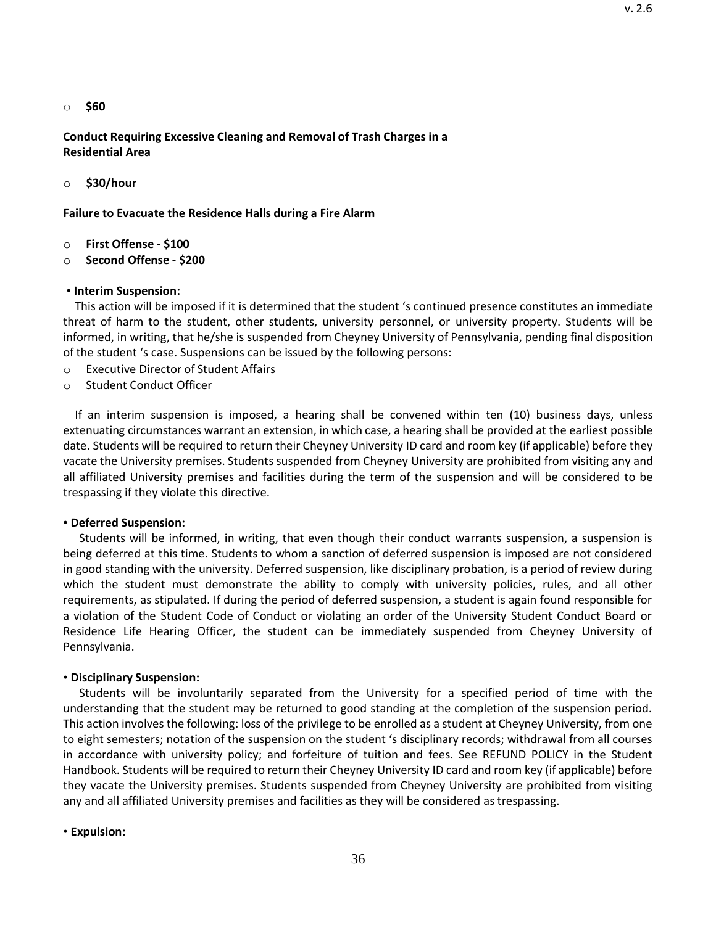o **\$60**

**Conduct Requiring Excessive Cleaning and Removal of Trash Charges in a Residential Area**

o **\$30/hour**

**Failure to Evacuate the Residence Halls during a Fire Alarm**

- o **First Offense - \$100**
- o **Second Offense - \$200**

#### • **Interim Suspension:**

This action will be imposed if it is determined that the student 's continued presence constitutes an immediate threat of harm to the student, other students, university personnel, or university property. Students will be informed, in writing, that he/she is suspended from Cheyney University of Pennsylvania, pending final disposition of the student 's case. Suspensions can be issued by the following persons:

- o Executive Director of Student Affairs
- o Student Conduct Officer

If an interim suspension is imposed, a hearing shall be convened within ten (10) business days, unless extenuating circumstances warrant an extension, in which case, a hearing shall be provided at the earliest possible date. Students will be required to return their Cheyney University ID card and room key (if applicable) before they vacate the University premises. Students suspended from Cheyney University are prohibited from visiting any and all affiliated University premises and facilities during the term of the suspension and will be considered to be trespassing if they violate this directive.

#### • **Deferred Suspension:**

Students will be informed, in writing, that even though their conduct warrants suspension, a suspension is being deferred at this time. Students to whom a sanction of deferred suspension is imposed are not considered in good standing with the university. Deferred suspension, like disciplinary probation, is a period of review during which the student must demonstrate the ability to comply with university policies, rules, and all other requirements, as stipulated. If during the period of deferred suspension, a student is again found responsible for a violation of the Student Code of Conduct or violating an order of the University Student Conduct Board or Residence Life Hearing Officer, the student can be immediately suspended from Cheyney University of Pennsylvania.

#### • **Disciplinary Suspension:**

Students will be involuntarily separated from the University for a specified period of time with the understanding that the student may be returned to good standing at the completion of the suspension period. This action involves the following: loss of the privilege to be enrolled as a student at Cheyney University, from one to eight semesters; notation of the suspension on the student 's disciplinary records; withdrawal from all courses in accordance with university policy; and forfeiture of tuition and fees. See REFUND POLICY in the Student Handbook. Students will be required to return their Cheyney University ID card and room key (if applicable) before they vacate the University premises. Students suspended from Cheyney University are prohibited from visiting any and all affiliated University premises and facilities as they will be considered as trespassing.

#### • **Expulsion:**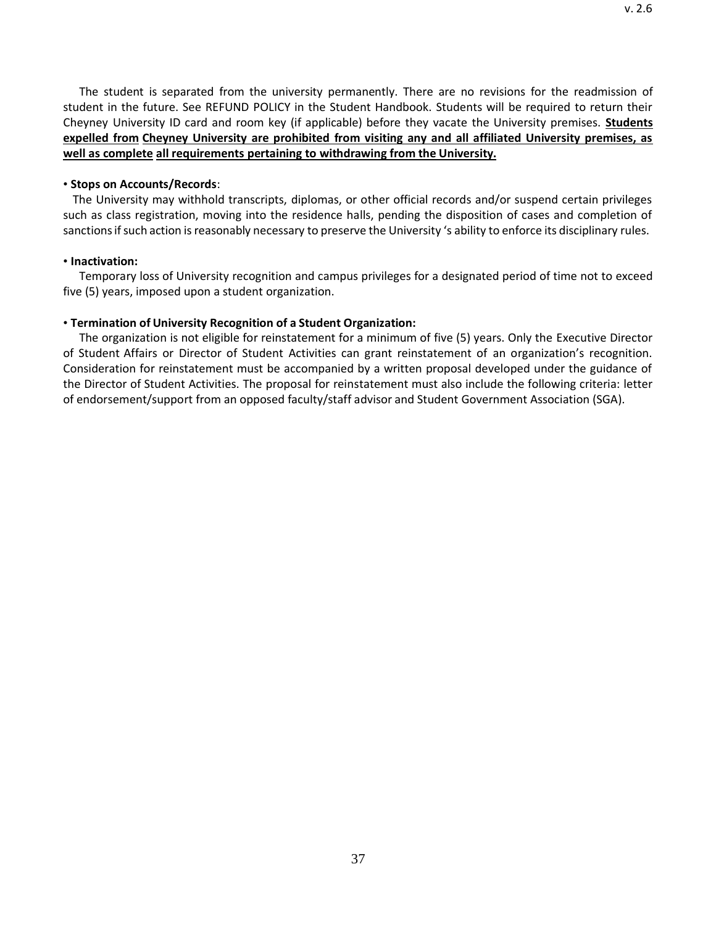v. 2.6

<span id="page-36-0"></span>The student is separated from the university permanently. There are no revisions for the readmission of student in the future. See REFUND POLICY in the Student Handbook. Students will be required to return their Cheyney University ID card and room key (if applicable) before they vacate the University premises. **Students expelled from Cheyney University are prohibited from visiting any and all affiliated University premises, as well as complete all requirements pertaining to withdrawing from the University.**

#### • **Stops on Accounts/Records**:

The University may withhold transcripts, diplomas, or other official records and/or suspend certain privileges such as class registration, moving into the residence halls, pending the disposition of cases and completion of sanctions if such action is reasonably necessary to preserve the University 's ability to enforce its disciplinary rules.

#### • **Inactivation:**

Temporary loss of University recognition and campus privileges for a designated period of time not to exceed five (5) years, imposed upon a student organization.

#### • **Termination of University Recognition of a Student Organization:**

The organization is not eligible for reinstatement for a minimum of five (5) years. Only the Executive Director of Student Affairs or Director of Student Activities can grant reinstatement of an organization's recognition. Consideration for reinstatement must be accompanied by a written proposal developed under the guidance of the Director of Student Activities. The proposal for reinstatement must also include the following criteria: letter of endorsement/support from an opposed faculty/staff advisor and Student Government Association (SGA).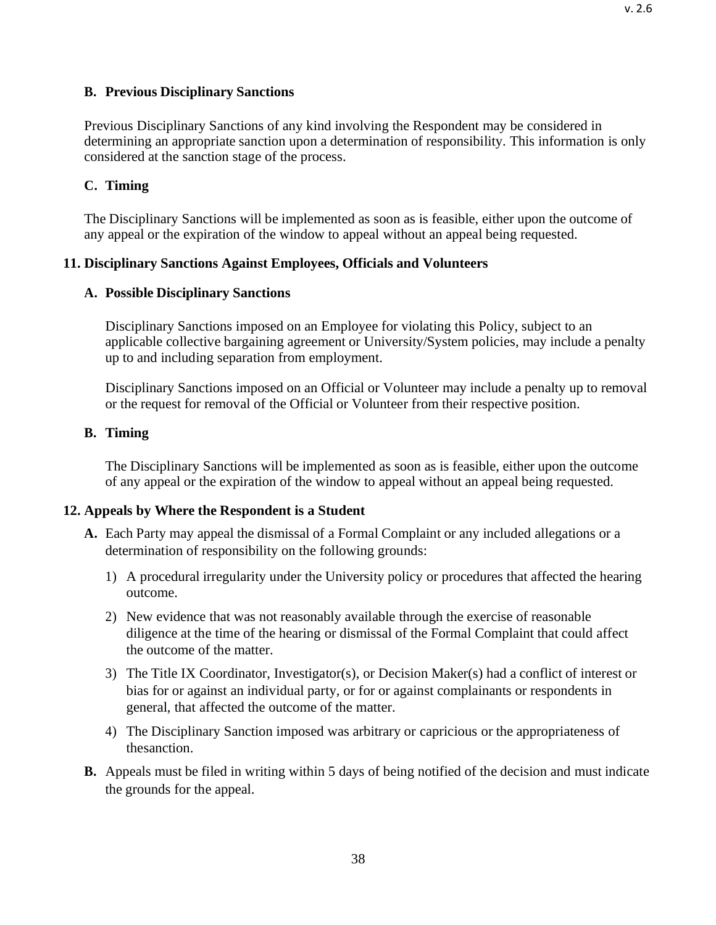### **B. Previous Disciplinary Sanctions**

Previous Disciplinary Sanctions of any kind involving the Respondent may be considered in determining an appropriate sanction upon a determination of responsibility. This information is only considered at the sanction stage of the process.

### <span id="page-37-0"></span>**C. Timing**

The Disciplinary Sanctions will be implemented as soon as is feasible, either upon the outcome of any appeal or the expiration of the window to appeal without an appeal being requested.

### <span id="page-37-1"></span>**11. Disciplinary Sanctions Against Employees, Officials and Volunteers**

### <span id="page-37-2"></span>**A. Possible Disciplinary Sanctions**

Disciplinary Sanctions imposed on an Employee for violating this Policy, subject to an applicable collective bargaining agreement or University/System policies, may include a penalty up to and including separation from employment.

Disciplinary Sanctions imposed on an Official or Volunteer may include a penalty up to removal or the request for removal of the Official or Volunteer from their respective position.

### <span id="page-37-3"></span>**B. Timing**

The Disciplinary Sanctions will be implemented as soon as is feasible, either upon the outcome of any appeal or the expiration of the window to appeal without an appeal being requested.

## <span id="page-37-4"></span>**12. Appeals by Where the Respondent is a Student**

- **A.** Each Party may appeal the dismissal of a Formal Complaint or any included allegations or a determination of responsibility on the following grounds:
	- 1) A procedural irregularity under the University policy or procedures that affected the hearing outcome.
	- 2) New evidence that was not reasonably available through the exercise of reasonable diligence at the time of the hearing or dismissal of the Formal Complaint that could affect the outcome of the matter.
	- 3) The Title IX Coordinator, Investigator(s), or Decision Maker(s) had a conflict of interest or bias for or against an individual party, or for or against complainants or respondents in general, that affected the outcome of the matter.
	- 4) The Disciplinary Sanction imposed was arbitrary or capricious or the appropriateness of thesanction.
- **B.** Appeals must be filed in writing within 5 days of being notified of the decision and must indicate the grounds for the appeal.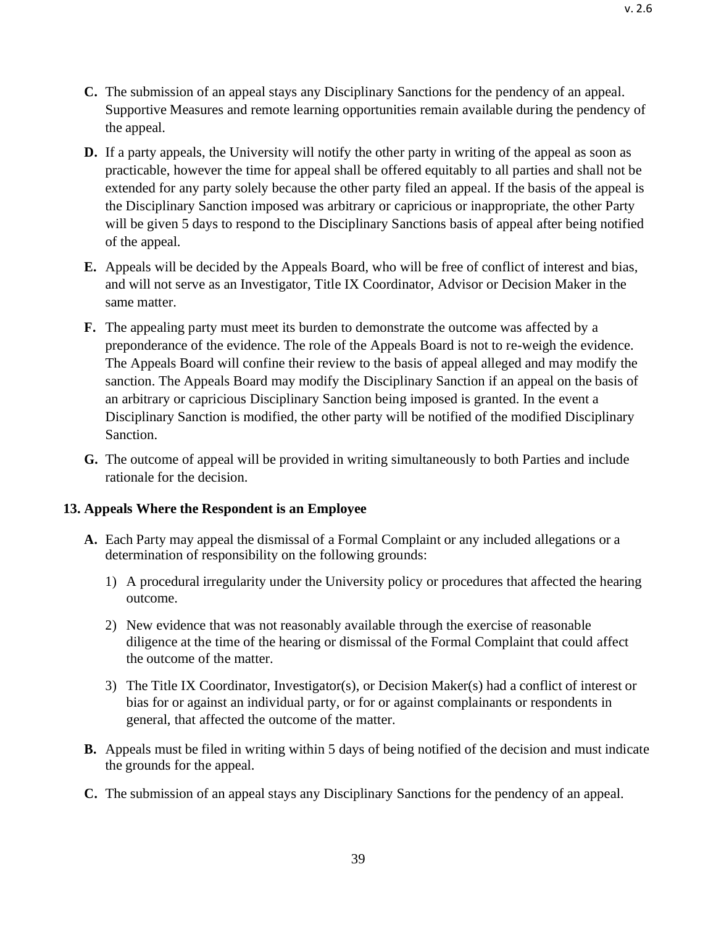- **C.** The submission of an appeal stays any Disciplinary Sanctions for the pendency of an appeal. Supportive Measures and remote learning opportunities remain available during the pendency of the appeal.
- **D.** If a party appeals, the University will notify the other party in writing of the appeal as soon as practicable, however the time for appeal shall be offered equitably to all parties and shall not be extended for any party solely because the other party filed an appeal. If the basis of the appeal is the Disciplinary Sanction imposed was arbitrary or capricious or inappropriate, the other Party will be given 5 days to respond to the Disciplinary Sanctions basis of appeal after being notified of the appeal.
- **E.** Appeals will be decided by the Appeals Board, who will be free of conflict of interest and bias, and will not serve as an Investigator, Title IX Coordinator, Advisor or Decision Maker in the same matter.
- **F.** The appealing party must meet its burden to demonstrate the outcome was affected by a preponderance of the evidence. The role of the Appeals Board is not to re-weigh the evidence. The Appeals Board will confine their review to the basis of appeal alleged and may modify the sanction. The Appeals Board may modify the Disciplinary Sanction if an appeal on the basis of an arbitrary or capricious Disciplinary Sanction being imposed is granted. In the event a Disciplinary Sanction is modified, the other party will be notified of the modified Disciplinary Sanction.
- **G.** The outcome of appeal will be provided in writing simultaneously to both Parties and include rationale for the decision.

## <span id="page-38-0"></span>**13. Appeals Where the Respondent is an Employee**

- **A.** Each Party may appeal the dismissal of a Formal Complaint or any included allegations or a determination of responsibility on the following grounds:
	- 1) A procedural irregularity under the University policy or procedures that affected the hearing outcome.
	- 2) New evidence that was not reasonably available through the exercise of reasonable diligence at the time of the hearing or dismissal of the Formal Complaint that could affect the outcome of the matter.
	- 3) The Title IX Coordinator, Investigator(s), or Decision Maker(s) had a conflict of interest or bias for or against an individual party, or for or against complainants or respondents in general, that affected the outcome of the matter.
- **B.** Appeals must be filed in writing within 5 days of being notified of the decision and must indicate the grounds for the appeal.
- **C.** The submission of an appeal stays any Disciplinary Sanctions for the pendency of an appeal.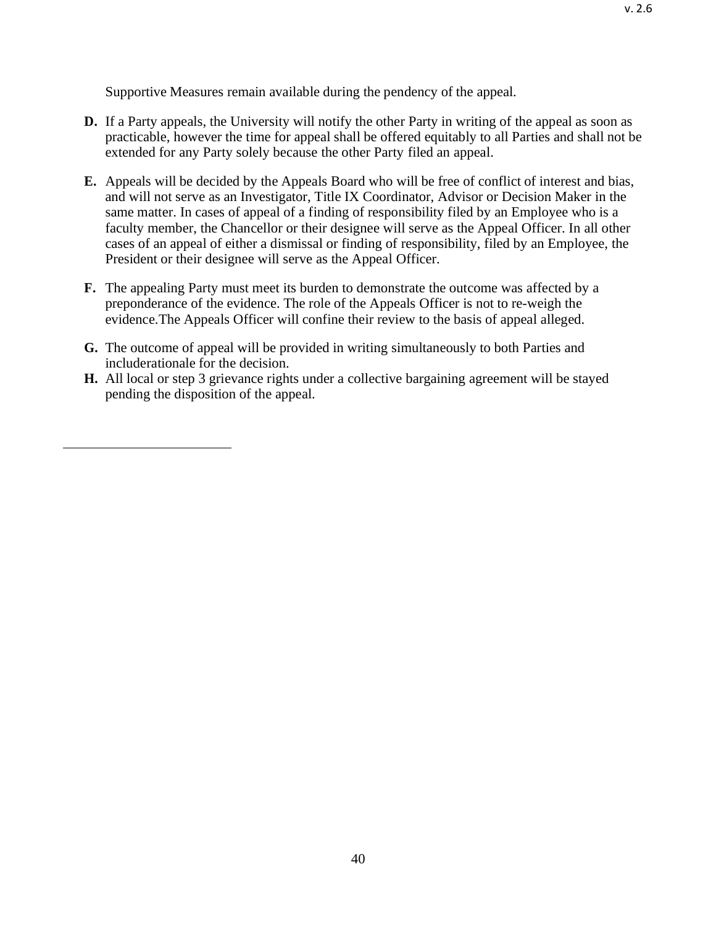Supportive Measures remain available during the pendency of the appeal.

- **D.** If a Party appeals, the University will notify the other Party in writing of the appeal as soon as practicable, however the time for appeal shall be offered equitably to all Parties and shall not be extended for any Party solely because the other Party filed an appeal.
- **E.** Appeals will be decided by the Appeals Board who will be free of conflict of interest and bias, and will not serve as an Investigator, Title IX Coordinator, Advisor or Decision Maker in the same matter. In cases of appeal of a finding of responsibility filed by an Employee who is a faculty member, the Chancellor or their designee will serve as the Appeal Officer. In all other cases of an appeal of either a dismissal or finding of responsibility, filed by an Employee, the President or their designee will serve as the Appeal Officer.
- **F.** The appealing Party must meet its burden to demonstrate the outcome was affected by a preponderance of the evidence. The role of the Appeals Officer is not to re-weigh the evidence.The Appeals Officer will confine their review to the basis of appeal alleged.
- **G.** The outcome of appeal will be provided in writing simultaneously to both Parties and includerationale for the decision.
- **H.** All local or step 3 grievance rights under a collective bargaining agreement will be stayed pending the disposition of the appeal.